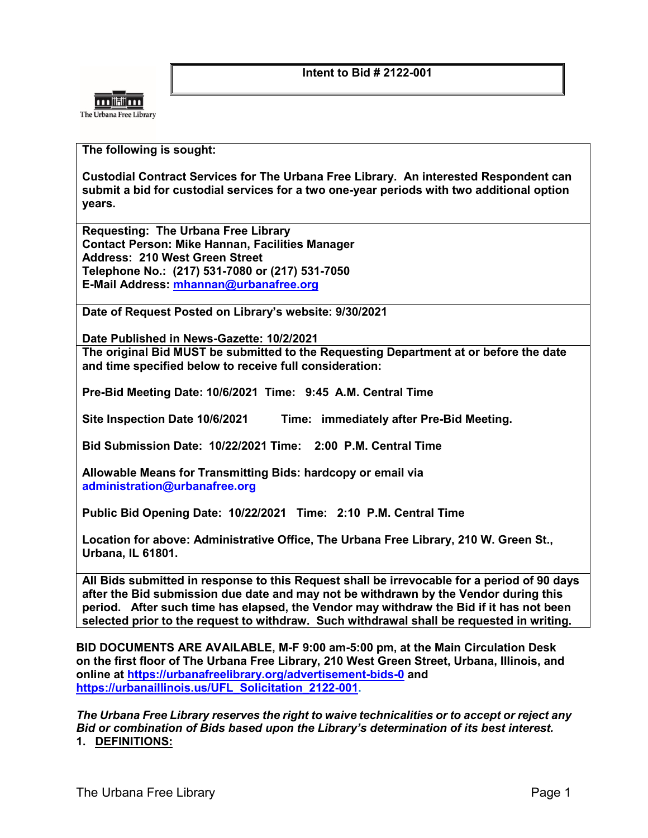**Intent to Bid # 2122-001**



## **The following is sought:**

**Custodial Contract Services for The Urbana Free Library. An interested Respondent can submit a bid for custodial services for a two one-year periods with two additional option years.**

**Requesting: The Urbana Free Library Contact Person: Mike Hannan, Facilities Manager Address: 210 West Green Street Telephone No.: (217) 531-7080 or (217) 531-7050 E-Mail Address: [mhannan@urbanafree.org](mailto:mhannan@urbanafree.org)**

**Date of Request Posted on Library's website: 9/30/2021**

**Date Published in News-Gazette: 10/2/2021**

**The original Bid MUST be submitted to the Requesting Department at or before the date and time specified below to receive full consideration:**

**Pre-Bid Meeting Date: 10/6/2021 Time: 9:45 A.M. Central Time**

**Site Inspection Date 10/6/2021 Time: immediately after Pre-Bid Meeting.** 

**Bid Submission Date: 10/22/2021 Time: 2:00 P.M. Central Time**

**Allowable Means for Transmitting Bids: hardcopy or email via [administration@urbanafree.org](mailto:administration@urbanafree.org)**

**Public Bid Opening Date: 10/22/2021 Time: 2:10 P.M. Central Time**

**Location for above: Administrative Office, The Urbana Free Library, 210 W. Green St., Urbana, IL 61801.** 

**All Bids submitted in response to this Request shall be irrevocable for a period of 90 days after the Bid submission due date and may not be withdrawn by the Vendor during this period. After such time has elapsed, the Vendor may withdraw the Bid if it has not been selected prior to the request to withdraw. Such withdrawal shall be requested in writing.**

**BID DOCUMENTS ARE AVAILABLE, M-F 9:00 am-5:00 pm, [at](file://fise1/Management$/FACILITIES/BID%20for%20Custodial%20&%20Maintenance%20SERVICES/RFP%20NEW%202019/at) the Main Circulation Desk on the first floor of The Urbana Free Library, 210 West Green Street, Urbana, Illinois, and online at<https://urbanafreelibrary.org/advertisement-bids-0> and [https://urbanaillinois.us/UFL\\_Solicitation\\_2122-001.](https://urbanaillinois.us/UFL_Solicitation_2122-001)** 

*The Urbana Free Library reserves the right to waive technicalities or to accept or reject any Bid or combination of Bids based upon the Library's determination of its best interest.* **1. DEFINITIONS:**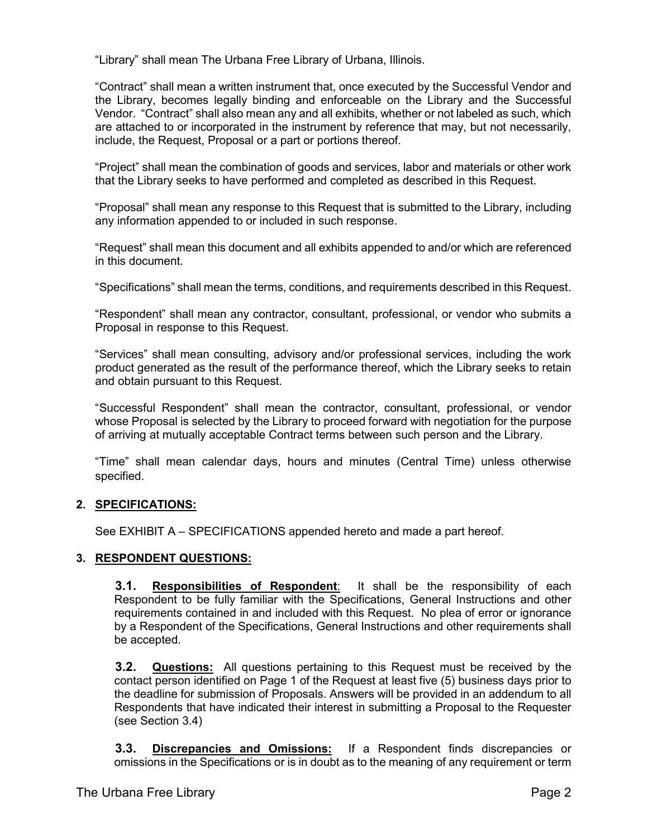"Library" shall mean The Urbana Free Library of Urbana, Illinois.

"Contract" shall mean a written instrument that, once executed by the Successful Vendor and the Library, becomes legally binding and enforceable on the Library and the Successful Vendor. "Contract" shall also mean any and all exhibits, whether or not labeled as such, which are attached to or incorporated in the instrument by reference that may, but not necessarily, include, the Request, Proposal or a part or portions thereof.

"Project" shall mean the combination of goods and services, labor and materials or other work that the Library seeks to have performed and completed as described in this Request.

"Proposal" shall mean any response to this Request that is submitted to the Library, including any information appended to or included in such response.

"Request" shall mean this document and all exhibits appended to and/or which are referenced in this document.

"Specifications" shall mean the terms, conditions, and requirements described in this Request.

"Respondent" shall mean any contractor, consultant, professional, or vendor who submits a Proposal in response to this Request.

"Services" shall mean consulting, advisory and/or professional services, including the work product generated as the result of the performance thereof, which the Library seeks to retain and obtain pursuant to this Request.

"Successful Respondent" shall mean the contractor, consultant, professional, or vendor whose Proposal is selected by the Library to proceed forward with negotiation for the purpose of arriving at mutually acceptable Contract terms between such person and the Library.

"Time" shall mean calendar days, hours and minutes (Central Time) unless otherwise specified.

## **2. SPECIFICATIONS:**

See EXHIBIT A – SPECIFICATIONS appended hereto and made a part hereof.

## **3. RESPONDENT QUESTIONS:**

**3.1. Responsibilities of Respondent**: It shall be the responsibility of each Respondent to be fully familiar with the Specifications, General Instructions and other requirements contained in and included with this Request. No plea of error or ignorance by a Respondent of the Specifications, General Instructions and other requirements shall be accepted.

**3.2. Questions:** All questions pertaining to this Request must be received by the contact person identified on Page 1 of the Request at least five (5) business days prior to the deadline for submission of Proposals. Answers will be provided in an addendum to all Respondents that have indicated their interest in submitting a Proposal to the Requester (see Section 3.4)

**3.3. Discrepancies and Omissions:** If a Respondent finds discrepancies or omissions in the Specifications or is in doubt as to the meaning of any requirement or term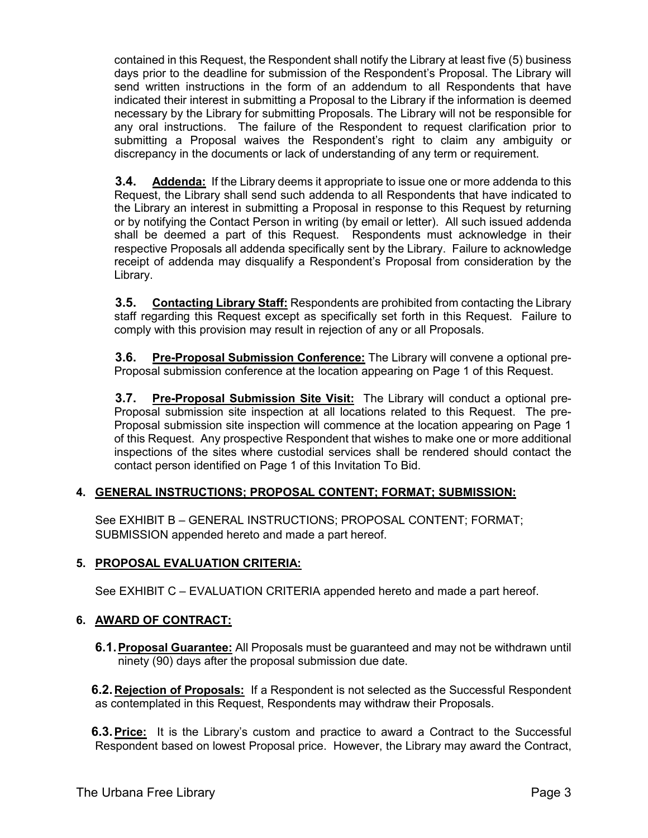contained in this Request, the Respondent shall notify the Library at least five (5) business days prior to the deadline for submission of the Respondent's Proposal. The Library will send written instructions in the form of an addendum to all Respondents that have indicated their interest in submitting a Proposal to the Library if the information is deemed necessary by the Library for submitting Proposals. The Library will not be responsible for any oral instructions. The failure of the Respondent to request clarification prior to submitting a Proposal waives the Respondent's right to claim any ambiguity or discrepancy in the documents or lack of understanding of any term or requirement.

**3.4. Addenda:** If the Library deems it appropriate to issue one or more addenda to this Request, the Library shall send such addenda to all Respondents that have indicated to the Library an interest in submitting a Proposal in response to this Request by returning or by notifying the Contact Person in writing (by email or letter). All such issued addenda shall be deemed a part of this Request. Respondents must acknowledge in their respective Proposals all addenda specifically sent by the Library. Failure to acknowledge receipt of addenda may disqualify a Respondent's Proposal from consideration by the Library.

**3.5. Contacting Library Staff:** Respondents are prohibited from contacting the Library staff regarding this Request except as specifically set forth in this Request. Failure to comply with this provision may result in rejection of any or all Proposals.

**3.6. Pre-Proposal Submission Conference:** The Library will convene a optional pre-Proposal submission conference at the location appearing on Page 1 of this Request.

**3.7. Pre-Proposal Submission Site Visit:** The Library will conduct a optional pre-Proposal submission site inspection at all locations related to this Request. The pre-Proposal submission site inspection will commence at the location appearing on Page 1 of this Request. Any prospective Respondent that wishes to make one or more additional inspections of the sites where custodial services shall be rendered should contact the contact person identified on Page 1 of this Invitation To Bid.

# **4. GENERAL INSTRUCTIONS; PROPOSAL CONTENT; FORMAT; SUBMISSION:**

See EXHIBIT B – GENERAL INSTRUCTIONS; PROPOSAL CONTENT; FORMAT; SUBMISSION appended hereto and made a part hereof.

# **5. PROPOSAL EVALUATION CRITERIA:**

See EXHIBIT C – EVALUATION CRITERIA appended hereto and made a part hereof.

# **6. AWARD OF CONTRACT:**

**6.1.Proposal Guarantee:** All Proposals must be guaranteed and may not be withdrawn until ninety (90) days after the proposal submission due date.

**6.2.Rejection of Proposals:** If a Respondent is not selected as the Successful Respondent as contemplated in this Request, Respondents may withdraw their Proposals.

**6.3.Price:** It is the Library's custom and practice to award a Contract to the Successful Respondent based on lowest Proposal price. However, the Library may award the Contract,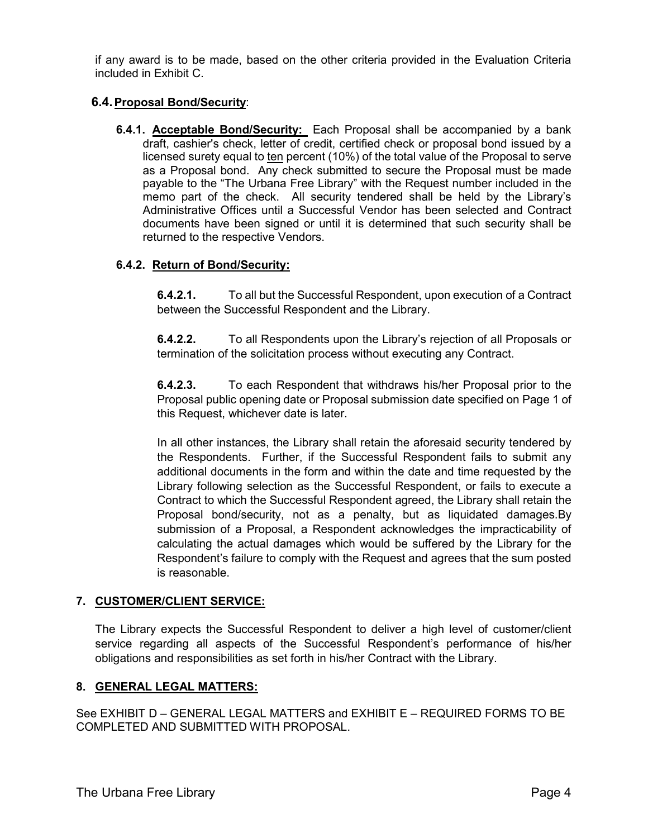if any award is to be made, based on the other criteria provided in the Evaluation Criteria included in Exhibit C.

## **6.4.Proposal Bond/Security**:

**6.4.1. Acceptable Bond/Security:** Each Proposal shall be accompanied by a bank draft, cashier's check, letter of credit, certified check or proposal bond issued by a licensed surety equal to ten percent (10%) of the total value of the Proposal to serve as a Proposal bond. Any check submitted to secure the Proposal must be made payable to the "The Urbana Free Library" with the Request number included in the memo part of the check. All security tendered shall be held by the Library's Administrative Offices until a Successful Vendor has been selected and Contract documents have been signed or until it is determined that such security shall be returned to the respective Vendors.

## **6.4.2. Return of Bond/Security:**

**6.4.2.1.** To all but the Successful Respondent, upon execution of a Contract between the Successful Respondent and the Library.

**6.4.2.2.** To all Respondents upon the Library's rejection of all Proposals or termination of the solicitation process without executing any Contract.

**6.4.2.3.** To each Respondent that withdraws his/her Proposal prior to the Proposal public opening date or Proposal submission date specified on Page 1 of this Request, whichever date is later.

In all other instances, the Library shall retain the aforesaid security tendered by the Respondents. Further, if the Successful Respondent fails to submit any additional documents in the form and within the date and time requested by the Library following selection as the Successful Respondent, or fails to execute a Contract to which the Successful Respondent agreed, the Library shall retain the Proposal bond/security, not as a penalty, but as liquidated damages.By submission of a Proposal, a Respondent acknowledges the impracticability of calculating the actual damages which would be suffered by the Library for the Respondent's failure to comply with the Request and agrees that the sum posted is reasonable.

## **7. CUSTOMER/CLIENT SERVICE:**

The Library expects the Successful Respondent to deliver a high level of customer/client service regarding all aspects of the Successful Respondent's performance of his/her obligations and responsibilities as set forth in his/her Contract with the Library.

## **8. GENERAL LEGAL MATTERS:**

See EXHIBIT D – GENERAL LEGAL MATTERS and EXHIBIT E – REQUIRED FORMS TO BE COMPLETED AND SUBMITTED WITH PROPOSAL.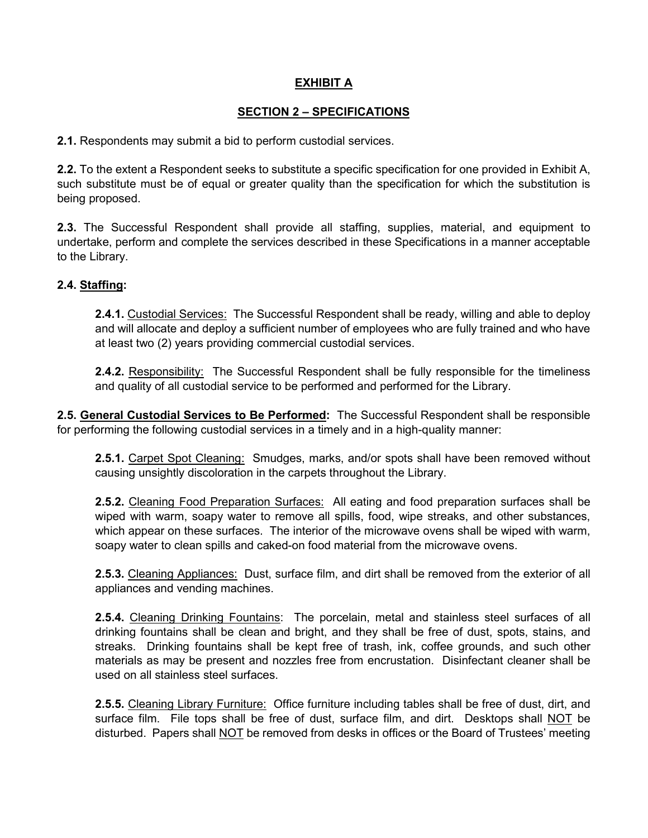## **EXHIBIT A**

## **SECTION 2 – SPECIFICATIONS**

**2.1.** Respondents may submit a bid to perform custodial services.

**2.2.** To the extent a Respondent seeks to substitute a specific specification for one provided in Exhibit A, such substitute must be of equal or greater quality than the specification for which the substitution is being proposed.

**2.3.** The Successful Respondent shall provide all staffing, supplies, material, and equipment to undertake, perform and complete the services described in these Specifications in a manner acceptable to the Library.

## **2.4. Staffing:**

**2.4.1.** Custodial Services: The Successful Respondent shall be ready, willing and able to deploy and will allocate and deploy a sufficient number of employees who are fully trained and who have at least two (2) years providing commercial custodial services.

**2.4.2.** Responsibility: The Successful Respondent shall be fully responsible for the timeliness and quality of all custodial service to be performed and performed for the Library.

**2.5. General Custodial Services to Be Performed:** The Successful Respondent shall be responsible for performing the following custodial services in a timely and in a high-quality manner:

**2.5.1.** Carpet Spot Cleaning: Smudges, marks, and/or spots shall have been removed without causing unsightly discoloration in the carpets throughout the Library.

**2.5.2.** Cleaning Food Preparation Surfaces: All eating and food preparation surfaces shall be wiped with warm, soapy water to remove all spills, food, wipe streaks, and other substances, which appear on these surfaces. The interior of the microwave ovens shall be wiped with warm, soapy water to clean spills and caked-on food material from the microwave ovens.

**2.5.3.** Cleaning Appliances: Dust, surface film, and dirt shall be removed from the exterior of all appliances and vending machines.

**2.5.4.** Cleaning Drinking Fountains: The porcelain, metal and stainless steel surfaces of all drinking fountains shall be clean and bright, and they shall be free of dust, spots, stains, and streaks. Drinking fountains shall be kept free of trash, ink, coffee grounds, and such other materials as may be present and nozzles free from encrustation. Disinfectant cleaner shall be used on all stainless steel surfaces.

**2.5.5.** Cleaning Library Furniture: Office furniture including tables shall be free of dust, dirt, and surface film. File tops shall be free of dust, surface film, and dirt. Desktops shall NOT be disturbed. Papers shall NOT be removed from desks in offices or the Board of Trustees' meeting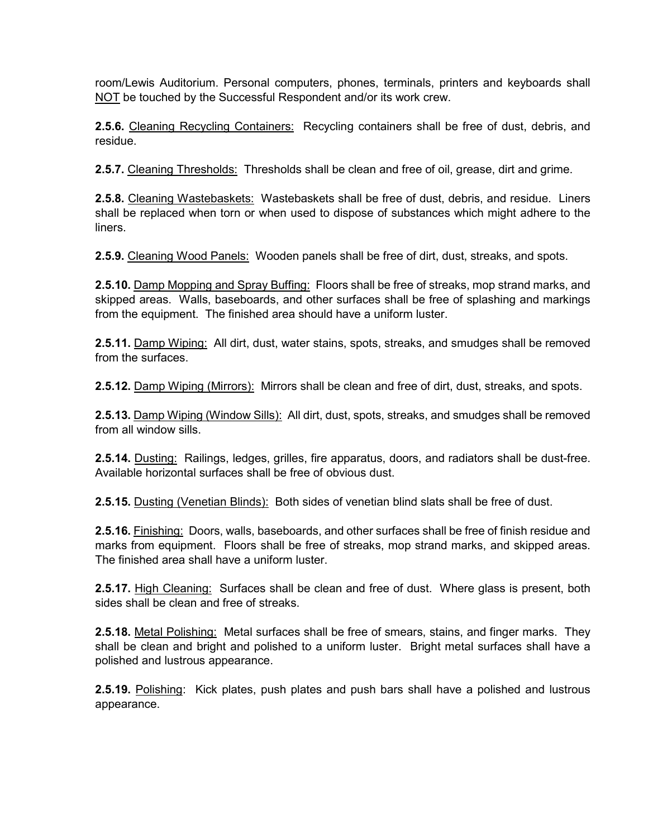room/Lewis Auditorium. Personal computers, phones, terminals, printers and keyboards shall NOT be touched by the Successful Respondent and/or its work crew.

**2.5.6.** Cleaning Recycling Containers: Recycling containers shall be free of dust, debris, and residue.

**2.5.7.** Cleaning Thresholds: Thresholds shall be clean and free of oil, grease, dirt and grime.

**2.5.8.** Cleaning Wastebaskets: Wastebaskets shall be free of dust, debris, and residue. Liners shall be replaced when torn or when used to dispose of substances which might adhere to the liners.

**2.5.9.** Cleaning Wood Panels: Wooden panels shall be free of dirt, dust, streaks, and spots.

**2.5.10.** Damp Mopping and Spray Buffing: Floors shall be free of streaks, mop strand marks, and skipped areas. Walls, baseboards, and other surfaces shall be free of splashing and markings from the equipment. The finished area should have a uniform luster.

**2.5.11.** Damp Wiping: All dirt, dust, water stains, spots, streaks, and smudges shall be removed from the surfaces.

**2.5.12.** Damp Wiping (Mirrors): Mirrors shall be clean and free of dirt, dust, streaks, and spots.

**2.5.13.** Damp Wiping (Window Sills): All dirt, dust, spots, streaks, and smudges shall be removed from all window sills.

**2.5.14.** Dusting: Railings, ledges, grilles, fire apparatus, doors, and radiators shall be dust-free. Available horizontal surfaces shall be free of obvious dust.

**2.5.15.** Dusting (Venetian Blinds): Both sides of venetian blind slats shall be free of dust.

**2.5.16.** Finishing: Doors, walls, baseboards, and other surfaces shall be free of finish residue and marks from equipment. Floors shall be free of streaks, mop strand marks, and skipped areas. The finished area shall have a uniform luster.

**2.5.17.** High Cleaning: Surfaces shall be clean and free of dust. Where glass is present, both sides shall be clean and free of streaks.

**2.5.18.** Metal Polishing: Metal surfaces shall be free of smears, stains, and finger marks. They shall be clean and bright and polished to a uniform luster. Bright metal surfaces shall have a polished and lustrous appearance.

**2.5.19.** Polishing: Kick plates, push plates and push bars shall have a polished and lustrous appearance.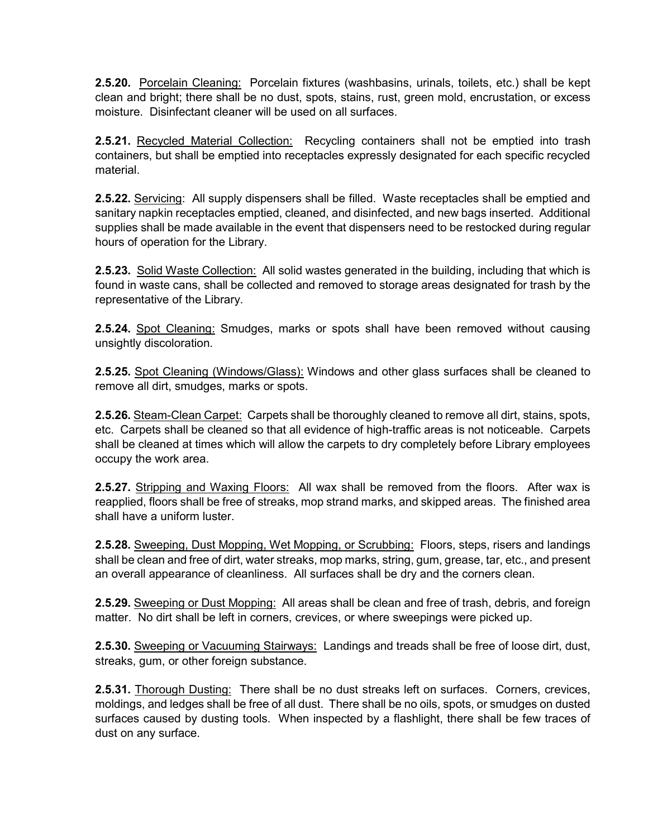**2.5.20.** Porcelain Cleaning: Porcelain fixtures (washbasins, urinals, toilets, etc.) shall be kept clean and bright; there shall be no dust, spots, stains, rust, green mold, encrustation, or excess moisture. Disinfectant cleaner will be used on all surfaces.

**2.5.21.** Recycled Material Collection: Recycling containers shall not be emptied into trash containers, but shall be emptied into receptacles expressly designated for each specific recycled material.

**2.5.22.** Servicing: All supply dispensers shall be filled. Waste receptacles shall be emptied and sanitary napkin receptacles emptied, cleaned, and disinfected, and new bags inserted. Additional supplies shall be made available in the event that dispensers need to be restocked during regular hours of operation for the Library.

**2.5.23.** Solid Waste Collection: All solid wastes generated in the building, including that which is found in waste cans, shall be collected and removed to storage areas designated for trash by the representative of the Library.

**2.5.24.** Spot Cleaning: Smudges, marks or spots shall have been removed without causing unsightly discoloration.

**2.5.25.** Spot Cleaning (Windows/Glass): Windows and other glass surfaces shall be cleaned to remove all dirt, smudges, marks or spots.

**2.5.26.** Steam-Clean Carpet: Carpets shall be thoroughly cleaned to remove all dirt, stains, spots, etc. Carpets shall be cleaned so that all evidence of high-traffic areas is not noticeable. Carpets shall be cleaned at times which will allow the carpets to dry completely before Library employees occupy the work area.

**2.5.27.** Stripping and Waxing Floors: All wax shall be removed from the floors. After wax is reapplied, floors shall be free of streaks, mop strand marks, and skipped areas. The finished area shall have a uniform luster.

**2.5.28.** Sweeping, Dust Mopping, Wet Mopping, or Scrubbing: Floors, steps, risers and landings shall be clean and free of dirt, water streaks, mop marks, string, gum, grease, tar, etc., and present an overall appearance of cleanliness. All surfaces shall be dry and the corners clean.

**2.5.29.** Sweeping or Dust Mopping: All areas shall be clean and free of trash, debris, and foreign matter. No dirt shall be left in corners, crevices, or where sweepings were picked up.

**2.5.30.** Sweeping or Vacuuming Stairways: Landings and treads shall be free of loose dirt, dust, streaks, gum, or other foreign substance.

**2.5.31.** Thorough Dusting: There shall be no dust streaks left on surfaces. Corners, crevices, moldings, and ledges shall be free of all dust. There shall be no oils, spots, or smudges on dusted surfaces caused by dusting tools. When inspected by a flashlight, there shall be few traces of dust on any surface.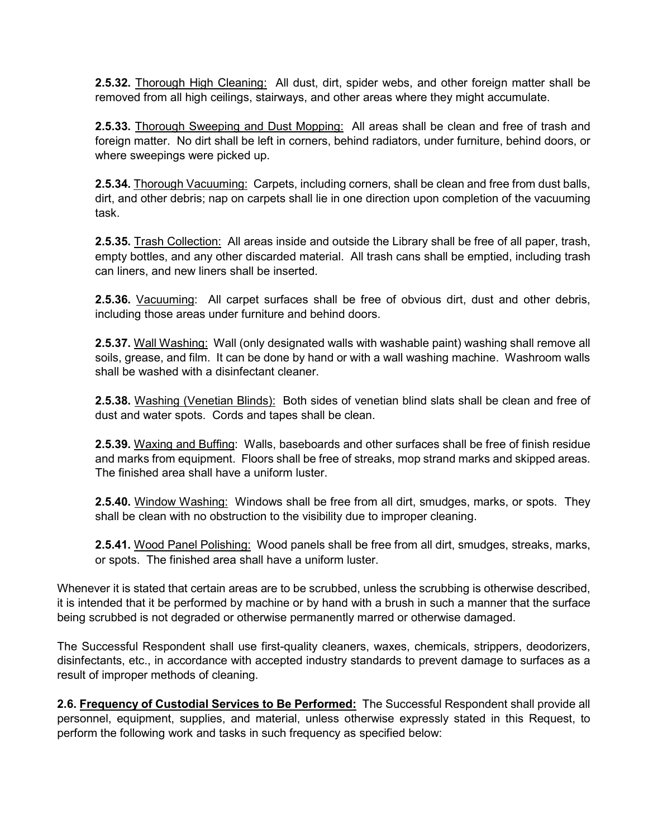**2.5.32.** Thorough High Cleaning: All dust, dirt, spider webs, and other foreign matter shall be removed from all high ceilings, stairways, and other areas where they might accumulate.

**2.5.33.** Thorough Sweeping and Dust Mopping: All areas shall be clean and free of trash and foreign matter. No dirt shall be left in corners, behind radiators, under furniture, behind doors, or where sweepings were picked up.

**2.5.34.** Thorough Vacuuming: Carpets, including corners, shall be clean and free from dust balls, dirt, and other debris; nap on carpets shall lie in one direction upon completion of the vacuuming task.

**2.5.35.** Trash Collection: All areas inside and outside the Library shall be free of all paper, trash, empty bottles, and any other discarded material. All trash cans shall be emptied, including trash can liners, and new liners shall be inserted.

**2.5.36.** Vacuuming: All carpet surfaces shall be free of obvious dirt, dust and other debris, including those areas under furniture and behind doors.

**2.5.37.** Wall Washing: Wall (only designated walls with washable paint) washing shall remove all soils, grease, and film. It can be done by hand or with a wall washing machine. Washroom walls shall be washed with a disinfectant cleaner.

**2.5.38.** Washing (Venetian Blinds): Both sides of venetian blind slats shall be clean and free of dust and water spots. Cords and tapes shall be clean.

**2.5.39.** Waxing and Buffing: Walls, baseboards and other surfaces shall be free of finish residue and marks from equipment. Floors shall be free of streaks, mop strand marks and skipped areas. The finished area shall have a uniform luster.

**2.5.40.** Window Washing: Windows shall be free from all dirt, smudges, marks, or spots. They shall be clean with no obstruction to the visibility due to improper cleaning.

**2.5.41.** Wood Panel Polishing: Wood panels shall be free from all dirt, smudges, streaks, marks, or spots. The finished area shall have a uniform luster.

Whenever it is stated that certain areas are to be scrubbed, unless the scrubbing is otherwise described, it is intended that it be performed by machine or by hand with a brush in such a manner that the surface being scrubbed is not degraded or otherwise permanently marred or otherwise damaged.

The Successful Respondent shall use first-quality cleaners, waxes, chemicals, strippers, deodorizers, disinfectants, etc., in accordance with accepted industry standards to prevent damage to surfaces as a result of improper methods of cleaning.

**2.6. Frequency of Custodial Services to Be Performed:** The Successful Respondent shall provide all personnel, equipment, supplies, and material, unless otherwise expressly stated in this Request, to perform the following work and tasks in such frequency as specified below: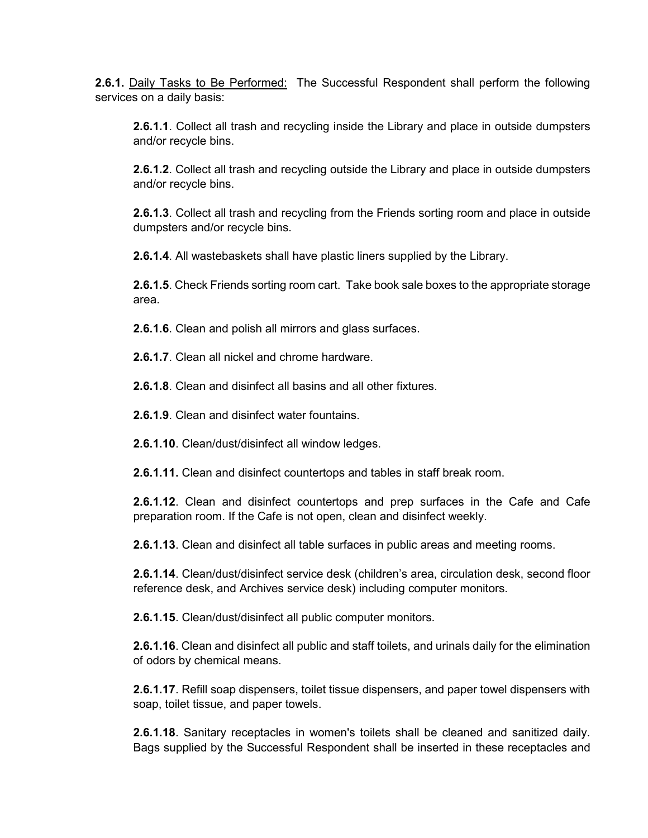**2.6.1.** Daily Tasks to Be Performed: The Successful Respondent shall perform the following services on a daily basis:

**2.6.1.1**. Collect all trash and recycling inside the Library and place in outside dumpsters and/or recycle bins.

**2.6.1.2**. Collect all trash and recycling outside the Library and place in outside dumpsters and/or recycle bins.

**2.6.1.3**. Collect all trash and recycling from the Friends sorting room and place in outside dumpsters and/or recycle bins.

**2.6.1.4**. All wastebaskets shall have plastic liners supplied by the Library.

**2.6.1.5**. Check Friends sorting room cart. Take book sale boxes to the appropriate storage area.

**2.6.1.6**. Clean and polish all mirrors and glass surfaces.

**2.6.1.7**. Clean all nickel and chrome hardware.

**2.6.1.8**. Clean and disinfect all basins and all other fixtures.

**2.6.1.9**. Clean and disinfect water fountains.

**2.6.1.10**. Clean/dust/disinfect all window ledges.

**2.6.1.11.** Clean and disinfect countertops and tables in staff break room.

**2.6.1.12**. Clean and disinfect countertops and prep surfaces in the Cafe and Cafe preparation room. If the Cafe is not open, clean and disinfect weekly.

**2.6.1.13**. Clean and disinfect all table surfaces in public areas and meeting rooms.

**2.6.1.14**. Clean/dust/disinfect service desk (children's area, circulation desk, second floor reference desk, and Archives service desk) including computer monitors.

**2.6.1.15**. Clean/dust/disinfect all public computer monitors.

**2.6.1.16**. Clean and disinfect all public and staff toilets, and urinals daily for the elimination of odors by chemical means.

**2.6.1.17**. Refill soap dispensers, toilet tissue dispensers, and paper towel dispensers with soap, toilet tissue, and paper towels.

**2.6.1.18**. Sanitary receptacles in women's toilets shall be cleaned and sanitized daily. Bags supplied by the Successful Respondent shall be inserted in these receptacles and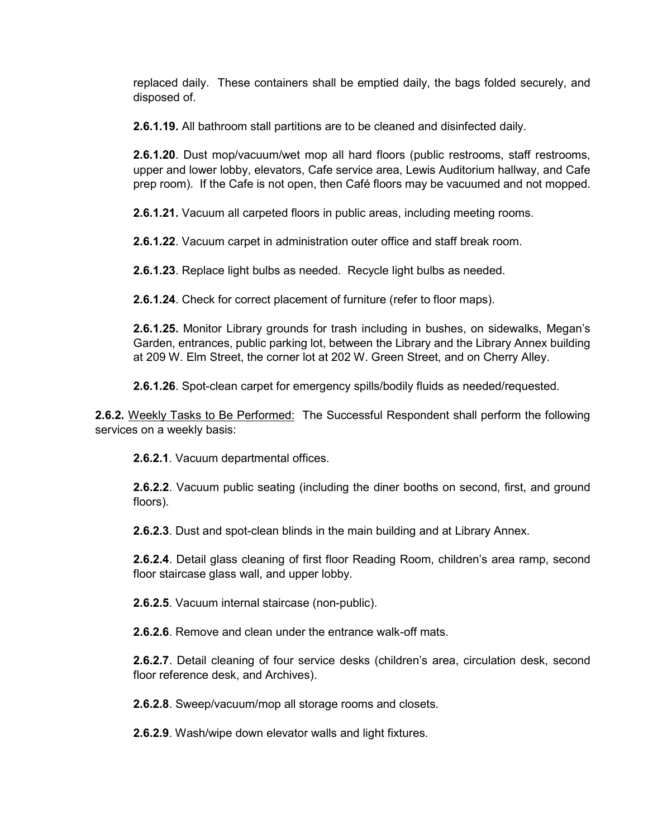replaced daily. These containers shall be emptied daily, the bags folded securely, and disposed of.

**2.6.1.19.** All bathroom stall partitions are to be cleaned and disinfected daily.

**2.6.1.20**. Dust mop/vacuum/wet mop all hard floors (public restrooms, staff restrooms, upper and lower lobby, elevators, Cafe service area, Lewis Auditorium hallway, and Cafe prep room). If the Cafe is not open, then Café floors may be vacuumed and not mopped.

**2.6.1.21.** Vacuum all carpeted floors in public areas, including meeting rooms.

**2.6.1.22**. Vacuum carpet in administration outer office and staff break room.

**2.6.1.23**. Replace light bulbs as needed. Recycle light bulbs as needed.

**2.6.1.24**. Check for correct placement of furniture (refer to floor maps).

**2.6.1.25.** Monitor Library grounds for trash including in bushes, on sidewalks, Megan's Garden, entrances, public parking lot, between the Library and the Library Annex building at 209 W. Elm Street, the corner lot at 202 W. Green Street, and on Cherry Alley.

**2.6.1.26**. Spot-clean carpet for emergency spills/bodily fluids as needed/requested.

**2.6.2.** Weekly Tasks to Be Performed: The Successful Respondent shall perform the following services on a weekly basis:

**2.6.2.1**. Vacuum departmental offices.

**2.6.2.2**. Vacuum public seating (including the diner booths on second, first, and ground floors).

**2.6.2.3**. Dust and spot-clean blinds in the main building and at Library Annex.

**2.6.2.4**. Detail glass cleaning of first floor Reading Room, children's area ramp, second floor staircase glass wall, and upper lobby.

**2.6.2.5**. Vacuum internal staircase (non-public).

**2.6.2.6**. Remove and clean under the entrance walk-off mats.

**2.6.2.7**. Detail cleaning of four service desks (children's area, circulation desk, second floor reference desk, and Archives).

**2.6.2.8**. Sweep/vacuum/mop all storage rooms and closets.

**2.6.2.9**. Wash/wipe down elevator walls and light fixtures.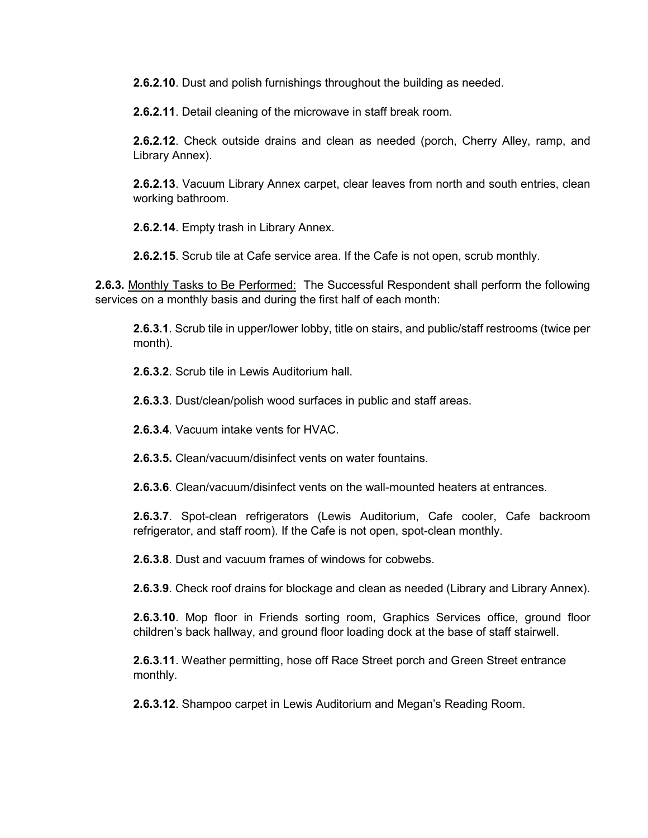**2.6.2.10**. Dust and polish furnishings throughout the building as needed.

**2.6.2.11**. Detail cleaning of the microwave in staff break room.

**2.6.2.12**. Check outside drains and clean as needed (porch, Cherry Alley, ramp, and Library Annex).

**2.6.2.13**. Vacuum Library Annex carpet, clear leaves from north and south entries, clean working bathroom.

**2.6.2.14**. Empty trash in Library Annex.

**2.6.2.15**. Scrub tile at Cafe service area. If the Cafe is not open, scrub monthly.

**2.6.3.** Monthly Tasks to Be Performed: The Successful Respondent shall perform the following services on a monthly basis and during the first half of each month:

**2.6.3.1**. Scrub tile in upper/lower lobby, title on stairs, and public/staff restrooms (twice per month).

**2.6.3.2**. Scrub tile in Lewis Auditorium hall.

**2.6.3.3**. Dust/clean/polish wood surfaces in public and staff areas.

**2.6.3.4**. Vacuum intake vents for HVAC.

**2.6.3.5.** Clean/vacuum/disinfect vents on water fountains.

**2.6.3.6**. Clean/vacuum/disinfect vents on the wall-mounted heaters at entrances.

**2.6.3.7**. Spot-clean refrigerators (Lewis Auditorium, Cafe cooler, Cafe backroom refrigerator, and staff room). If the Cafe is not open, spot-clean monthly.

**2.6.3.8**. Dust and vacuum frames of windows for cobwebs.

**2.6.3.9**. Check roof drains for blockage and clean as needed (Library and Library Annex).

**2.6.3.10**. Mop floor in Friends sorting room, Graphics Services office, ground floor children's back hallway, and ground floor loading dock at the base of staff stairwell.

**2.6.3.11**. Weather permitting, hose off Race Street porch and Green Street entrance monthly.

**2.6.3.12**. Shampoo carpet in Lewis Auditorium and Megan's Reading Room.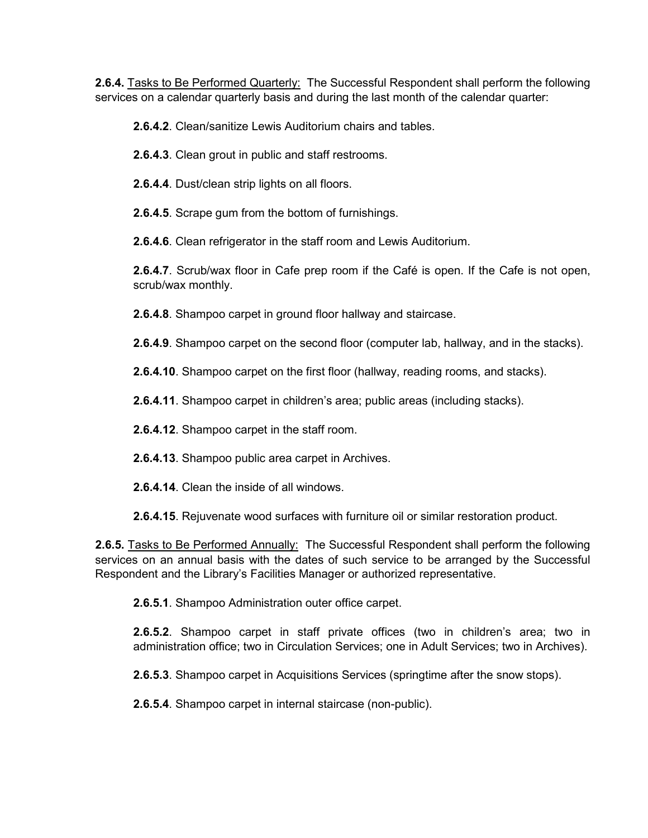**2.6.4.** Tasks to Be Performed Quarterly: The Successful Respondent shall perform the following services on a calendar quarterly basis and during the last month of the calendar quarter:

**2.6.4.2**. Clean/sanitize Lewis Auditorium chairs and tables.

**2.6.4.3**. Clean grout in public and staff restrooms.

**2.6.4.4**. Dust/clean strip lights on all floors.

**2.6.4.5**. Scrape gum from the bottom of furnishings.

**2.6.4.6**. Clean refrigerator in the staff room and Lewis Auditorium.

**2.6.4.7**. Scrub/wax floor in Cafe prep room if the Café is open. If the Cafe is not open, scrub/wax monthly.

**2.6.4.8**. Shampoo carpet in ground floor hallway and staircase.

**2.6.4.9**. Shampoo carpet on the second floor (computer lab, hallway, and in the stacks).

**2.6.4.10**. Shampoo carpet on the first floor (hallway, reading rooms, and stacks).

**2.6.4.11**. Shampoo carpet in children's area; public areas (including stacks).

**2.6.4.12**. Shampoo carpet in the staff room.

**2.6.4.13**. Shampoo public area carpet in Archives.

**2.6.4.14**. Clean the inside of all windows.

**2.6.4.15**. Rejuvenate wood surfaces with furniture oil or similar restoration product.

**2.6.5.** Tasks to Be Performed Annually: The Successful Respondent shall perform the following services on an annual basis with the dates of such service to be arranged by the Successful Respondent and the Library's Facilities Manager or authorized representative.

**2.6.5.1**. Shampoo Administration outer office carpet.

**2.6.5.2**. Shampoo carpet in staff private offices (two in children's area; two in administration office; two in Circulation Services; one in Adult Services; two in Archives).

**2.6.5.3**. Shampoo carpet in Acquisitions Services (springtime after the snow stops).

**2.6.5.4**. Shampoo carpet in internal staircase (non-public).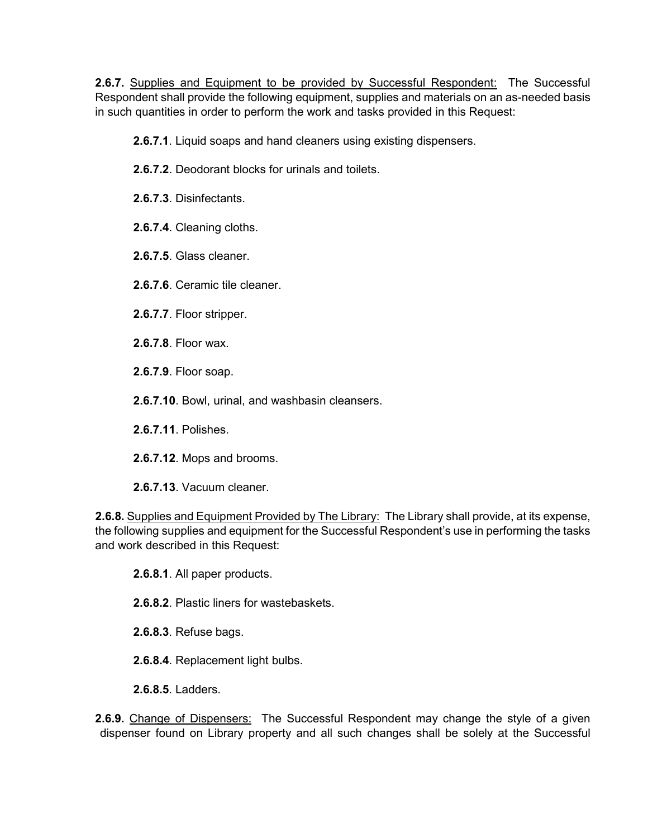2.6.7. Supplies and Equipment to be provided by Successful Respondent: The Successful Respondent shall provide the following equipment, supplies and materials on an as-needed basis in such quantities in order to perform the work and tasks provided in this Request:

**2.6.7.1**. Liquid soaps and hand cleaners using existing dispensers.

- **2.6.7.2**. Deodorant blocks for urinals and toilets.
- **2.6.7.3**. Disinfectants.
- **2.6.7.4**. Cleaning cloths.
- **2.6.7.5**. Glass cleaner.
- **2.6.7.6**. Ceramic tile cleaner.
- **2.6.7.7**. Floor stripper.
- **2.6.7.8**. Floor wax.
- **2.6.7.9**. Floor soap.
- **2.6.7.10**. Bowl, urinal, and washbasin cleansers.
- **2.6.7.11**. Polishes.
- **2.6.7.12**. Mops and brooms.
- **2.6.7.13**. Vacuum cleaner.

**2.6.8.** Supplies and Equipment Provided by The Library: The Library shall provide, at its expense, the following supplies and equipment for the Successful Respondent's use in performing the tasks and work described in this Request:

- **2.6.8.1**. All paper products.
- **2.6.8.2**. Plastic liners for wastebaskets.
- **2.6.8.3**. Refuse bags.
- **2.6.8.4**. Replacement light bulbs.
- **2.6.8.5**. Ladders.

**2.6.9.** Change of Dispensers: The Successful Respondent may change the style of a given dispenser found on Library property and all such changes shall be solely at the Successful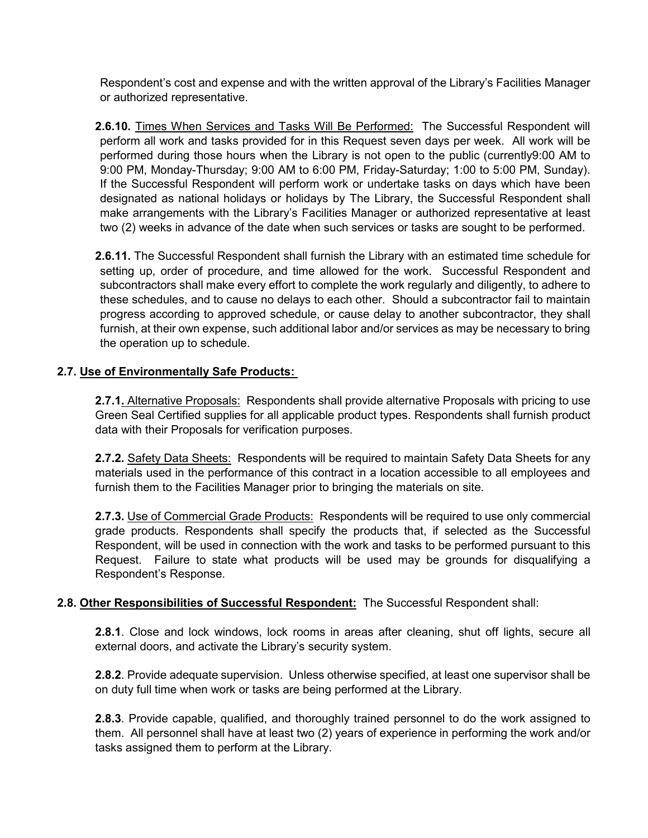Respondent's cost and expense and with the written approval of the Library's Facilities Manager or authorized representative.

**2.6.10.** Times When Services and Tasks Will Be Performed: The Successful Respondent will perform all work and tasks provided for in this Request seven days per week. All work will be performed during those hours when the Library is not open to the public (currently9:00 AM to 9:00 PM, Monday-Thursday; 9:00 AM to 6:00 PM, Friday-Saturday; 1:00 to 5:00 PM, Sunday). If the Successful Respondent will perform work or undertake tasks on days which have been designated as national holidays or holidays by The Library, the Successful Respondent shall make arrangements with the Library's Facilities Manager or authorized representative at least two (2) weeks in advance of the date when such services or tasks are sought to be performed.

**2.6.11.** The Successful Respondent shall furnish the Library with an estimated time schedule for setting up, order of procedure, and time allowed for the work. Successful Respondent and subcontractors shall make every effort to complete the work regularly and diligently, to adhere to these schedules, and to cause no delays to each other. Should a subcontractor fail to maintain progress according to approved schedule, or cause delay to another subcontractor, they shall furnish, at their own expense, such additional labor and/or services as may be necessary to bring the operation up to schedule.

# **2.7. Use of Environmentally Safe Products:**

2.7.1. Alternative Proposals: Respondents shall provide alternative Proposals with pricing to use Green Seal Certified supplies for all applicable product types. Respondents shall furnish product data with their Proposals for verification purposes.

2.7.2. Safety Data Sheets: Respondents will be required to maintain Safety Data Sheets for any materials used in the performance of this contract in a location accessible to all employees and furnish them to the Facilities Manager prior to bringing the materials on site.

**2.7.3.** Use of Commercial Grade Products: Respondents will be required to use only commercial grade products. Respondents shall specify the products that, if selected as the Successful Respondent, will be used in connection with the work and tasks to be performed pursuant to this Request. Failure to state what products will be used may be grounds for disqualifying a Respondent's Response.

# **2.8. Other Responsibilities of Successful Respondent:** The Successful Respondent shall:

**2.8.1**. Close and lock windows, lock rooms in areas after cleaning, shut off lights, secure all external doors, and activate the Library's security system.

**2.8.2**. Provide adequate supervision. Unless otherwise specified, at least one supervisor shall be on duty full time when work or tasks are being performed at the Library.

**2.8.3**. Provide capable, qualified, and thoroughly trained personnel to do the work assigned to them. All personnel shall have at least two (2) years of experience in performing the work and/or tasks assigned them to perform at the Library.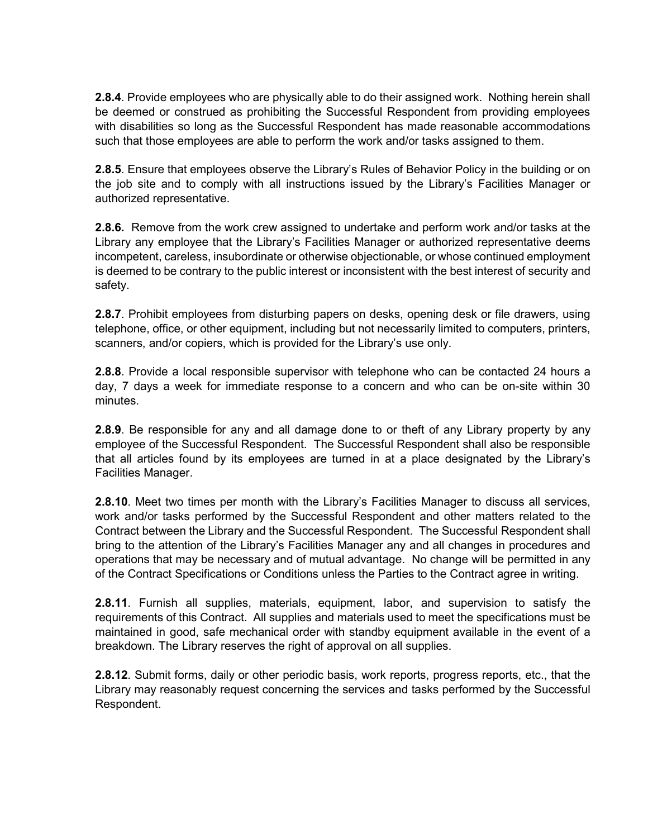**2.8.4**. Provide employees who are physically able to do their assigned work. Nothing herein shall be deemed or construed as prohibiting the Successful Respondent from providing employees with disabilities so long as the Successful Respondent has made reasonable accommodations such that those employees are able to perform the work and/or tasks assigned to them.

**2.8.5**. Ensure that employees observe the Library's Rules of Behavior Policy in the building or on the job site and to comply with all instructions issued by the Library's Facilities Manager or authorized representative.

**2.8.6.** Remove from the work crew assigned to undertake and perform work and/or tasks at the Library any employee that the Library's Facilities Manager or authorized representative deems incompetent, careless, insubordinate or otherwise objectionable, or whose continued employment is deemed to be contrary to the public interest or inconsistent with the best interest of security and safety.

**2.8.7**. Prohibit employees from disturbing papers on desks, opening desk or file drawers, using telephone, office, or other equipment, including but not necessarily limited to computers, printers, scanners, and/or copiers, which is provided for the Library's use only.

**2.8.8**. Provide a local responsible supervisor with telephone who can be contacted 24 hours a day, 7 days a week for immediate response to a concern and who can be on-site within 30 minutes.

**2.8.9**. Be responsible for any and all damage done to or theft of any Library property by any employee of the Successful Respondent. The Successful Respondent shall also be responsible that all articles found by its employees are turned in at a place designated by the Library's Facilities Manager.

**2.8.10**. Meet two times per month with the Library's Facilities Manager to discuss all services, work and/or tasks performed by the Successful Respondent and other matters related to the Contract between the Library and the Successful Respondent. The Successful Respondent shall bring to the attention of the Library's Facilities Manager any and all changes in procedures and operations that may be necessary and of mutual advantage. No change will be permitted in any of the Contract Specifications or Conditions unless the Parties to the Contract agree in writing.

**2.8.11**. Furnish all supplies, materials, equipment, labor, and supervision to satisfy the requirements of this Contract. All supplies and materials used to meet the specifications must be maintained in good, safe mechanical order with standby equipment available in the event of a breakdown. The Library reserves the right of approval on all supplies.

**2.8.12**. Submit forms, daily or other periodic basis, work reports, progress reports, etc., that the Library may reasonably request concerning the services and tasks performed by the Successful Respondent.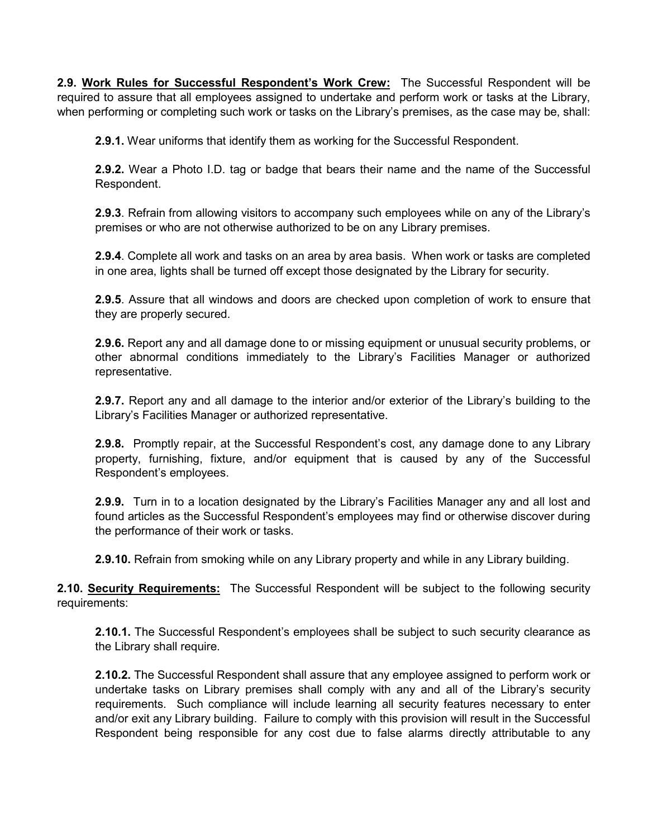**2.9. Work Rules for Successful Respondent's Work Crew:** The Successful Respondent will be required to assure that all employees assigned to undertake and perform work or tasks at the Library, when performing or completing such work or tasks on the Library's premises, as the case may be, shall:

**2.9.1.** Wear uniforms that identify them as working for the Successful Respondent.

**2.9.2.** Wear a Photo I.D. tag or badge that bears their name and the name of the Successful Respondent.

**2.9.3**. Refrain from allowing visitors to accompany such employees while on any of the Library's premises or who are not otherwise authorized to be on any Library premises.

**2.9.4**. Complete all work and tasks on an area by area basis. When work or tasks are completed in one area, lights shall be turned off except those designated by the Library for security.

**2.9.5**. Assure that all windows and doors are checked upon completion of work to ensure that they are properly secured.

**2.9.6.** Report any and all damage done to or missing equipment or unusual security problems, or other abnormal conditions immediately to the Library's Facilities Manager or authorized representative.

**2.9.7.** Report any and all damage to the interior and/or exterior of the Library's building to the Library's Facilities Manager or authorized representative.

**2.9.8.** Promptly repair, at the Successful Respondent's cost, any damage done to any Library property, furnishing, fixture, and/or equipment that is caused by any of the Successful Respondent's employees.

**2.9.9.** Turn in to a location designated by the Library's Facilities Manager any and all lost and found articles as the Successful Respondent's employees may find or otherwise discover during the performance of their work or tasks.

**2.9.10.** Refrain from smoking while on any Library property and while in any Library building.

**2.10. Security Requirements:** The Successful Respondent will be subject to the following security requirements:

**2.10.1.** The Successful Respondent's employees shall be subject to such security clearance as the Library shall require.

**2.10.2.** The Successful Respondent shall assure that any employee assigned to perform work or undertake tasks on Library premises shall comply with any and all of the Library's security requirements. Such compliance will include learning all security features necessary to enter and/or exit any Library building. Failure to comply with this provision will result in the Successful Respondent being responsible for any cost due to false alarms directly attributable to any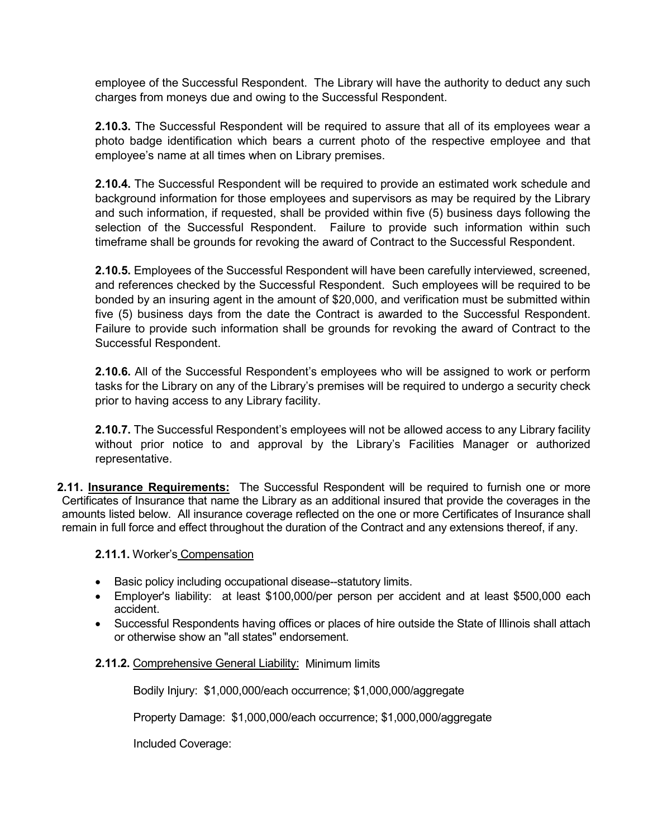employee of the Successful Respondent. The Library will have the authority to deduct any such charges from moneys due and owing to the Successful Respondent.

**2.10.3.** The Successful Respondent will be required to assure that all of its employees wear a photo badge identification which bears a current photo of the respective employee and that employee's name at all times when on Library premises.

**2.10.4.** The Successful Respondent will be required to provide an estimated work schedule and background information for those employees and supervisors as may be required by the Library and such information, if requested, shall be provided within five (5) business days following the selection of the Successful Respondent. Failure to provide such information within such timeframe shall be grounds for revoking the award of Contract to the Successful Respondent.

**2.10.5.** Employees of the Successful Respondent will have been carefully interviewed, screened, and references checked by the Successful Respondent. Such employees will be required to be bonded by an insuring agent in the amount of \$20,000, and verification must be submitted within five (5) business days from the date the Contract is awarded to the Successful Respondent. Failure to provide such information shall be grounds for revoking the award of Contract to the Successful Respondent.

**2.10.6.** All of the Successful Respondent's employees who will be assigned to work or perform tasks for the Library on any of the Library's premises will be required to undergo a security check prior to having access to any Library facility.

**2.10.7.** The Successful Respondent's employees will not be allowed access to any Library facility without prior notice to and approval by the Library's Facilities Manager or authorized representative.

**2.11. Insurance Requirements:** The Successful Respondent will be required to furnish one or more Certificates of Insurance that name the Library as an additional insured that provide the coverages in the amounts listed below. All insurance coverage reflected on the one or more Certificates of Insurance shall remain in full force and effect throughout the duration of the Contract and any extensions thereof, if any.

## **2.11.1.** Worker's Compensation

- Basic policy including occupational disease--statutory limits.
- Employer's liability: at least \$100,000/per person per accident and at least \$500,000 each accident.
- Successful Respondents having offices or places of hire outside the State of Illinois shall attach or otherwise show an "all states" endorsement.

## **2.11.2.** Comprehensive General Liability: Minimum limits

Bodily Injury: \$1,000,000/each occurrence; \$1,000,000/aggregate

Property Damage: \$1,000,000/each occurrence; \$1,000,000/aggregate

Included Coverage: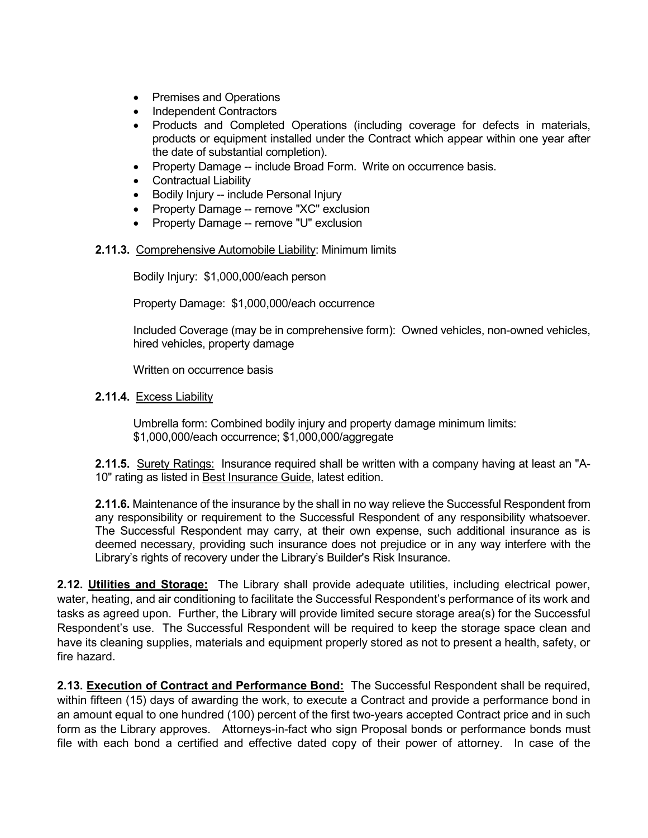- Premises and Operations
- Independent Contractors
- Products and Completed Operations (including coverage for defects in materials, products or equipment installed under the Contract which appear within one year after the date of substantial completion).
- Property Damage -- include Broad Form. Write on occurrence basis.
- Contractual Liability
- Bodily Injury -- include Personal Injury
- Property Damage -- remove "XC" exclusion
- Property Damage -- remove "U" exclusion

### **2.11.3.** Comprehensive Automobile Liability: Minimum limits

Bodily Injury: \$1,000,000/each person

Property Damage: \$1,000,000/each occurrence

Included Coverage (may be in comprehensive form): Owned vehicles, non-owned vehicles, hired vehicles, property damage

Written on occurrence basis

### **2.11.4.** Excess Liability

Umbrella form: Combined bodily injury and property damage minimum limits: \$1,000,000/each occurrence; \$1,000,000/aggregate

**2.11.5.** Surety Ratings: Insurance required shall be written with a company having at least an "A-10" rating as listed in Best Insurance Guide, latest edition.

**2.11.6.** Maintenance of the insurance by the shall in no way relieve the Successful Respondent from any responsibility or requirement to the Successful Respondent of any responsibility whatsoever. The Successful Respondent may carry, at their own expense, such additional insurance as is deemed necessary, providing such insurance does not prejudice or in any way interfere with the Library's rights of recovery under the Library's Builder's Risk Insurance.

**2.12. Utilities and Storage:** The Library shall provide adequate utilities, including electrical power, water, heating, and air conditioning to facilitate the Successful Respondent's performance of its work and tasks as agreed upon. Further, the Library will provide limited secure storage area(s) for the Successful Respondent's use. The Successful Respondent will be required to keep the storage space clean and have its cleaning supplies, materials and equipment properly stored as not to present a health, safety, or fire hazard.

**2.13. Execution of Contract and Performance Bond:** The Successful Respondent shall be required, within fifteen (15) days of awarding the work, to execute a Contract and provide a performance bond in an amount equal to one hundred (100) percent of the first two-years accepted Contract price and in such form as the Library approves. Attorneys-in-fact who sign Proposal bonds or performance bonds must file with each bond a certified and effective dated copy of their power of attorney. In case of the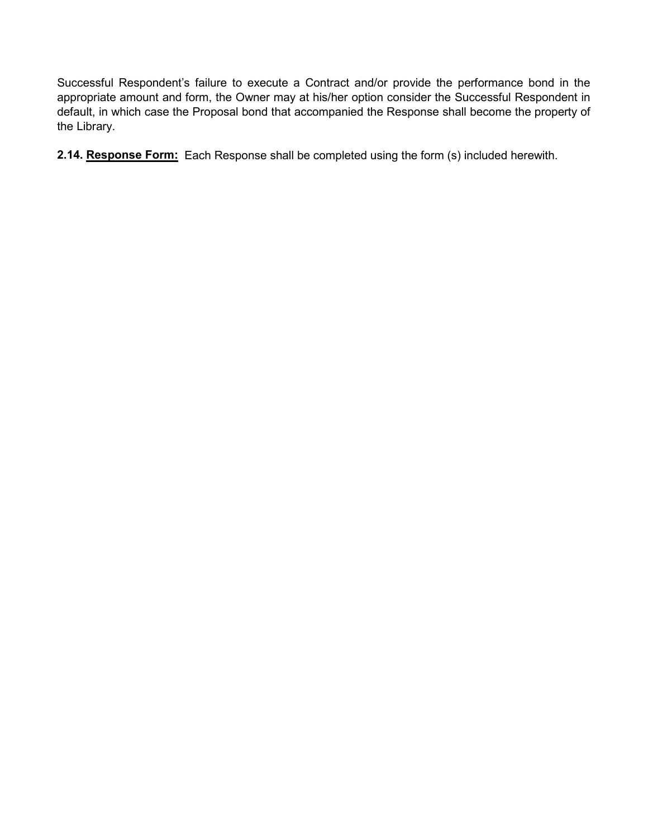Successful Respondent's failure to execute a Contract and/or provide the performance bond in the appropriate amount and form, the Owner may at his/her option consider the Successful Respondent in default, in which case the Proposal bond that accompanied the Response shall become the property of the Library.

**2.14. Response Form:** Each Response shall be completed using the form (s) included herewith.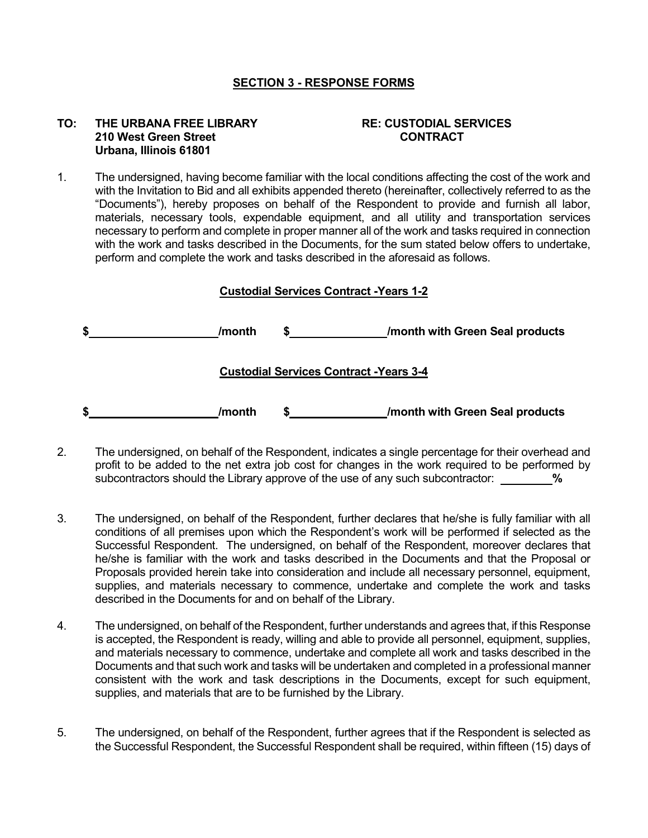### **SECTION 3 - RESPONSE FORMS**

### **TO: THE URBANA FREE LIBRARY RE: CUSTODIAL SERVICES 210 West Green Street CONTRACT Urbana, Illinois 61801**

1. The undersigned, having become familiar with the local conditions affecting the cost of the work and with the Invitation to Bid and all exhibits appended thereto (hereinafter, collectively referred to as the "Documents"), hereby proposes on behalf of the Respondent to provide and furnish all labor, materials, necessary tools, expendable equipment, and all utility and transportation services necessary to perform and complete in proper manner all of the work and tasks required in connection with the work and tasks described in the Documents, for the sum stated below offers to undertake, perform and complete the work and tasks described in the aforesaid as follows.

## **Custodial Services Contract -Years 1-2**

| \$<br>/month |                                                | /month with Green Seal products |  |  |
|--------------|------------------------------------------------|---------------------------------|--|--|
|              | <b>Custodial Services Contract - Years 3-4</b> |                                 |  |  |
| \$<br>/month |                                                | /month with Green Seal products |  |  |

- 2. The undersigned, on behalf of the Respondent, indicates a single percentage for their overhead and profit to be added to the net extra job cost for changes in the work required to be performed by subcontractors should the Library approve of the use of any such subcontractor: **%**
- 3. The undersigned, on behalf of the Respondent, further declares that he/she is fully familiar with all conditions of all premises upon which the Respondent's work will be performed if selected as the Successful Respondent. The undersigned, on behalf of the Respondent, moreover declares that he/she is familiar with the work and tasks described in the Documents and that the Proposal or Proposals provided herein take into consideration and include all necessary personnel, equipment, supplies, and materials necessary to commence, undertake and complete the work and tasks described in the Documents for and on behalf of the Library.
- 4. The undersigned, on behalf of the Respondent, further understands and agrees that, if this Response is accepted, the Respondent is ready, willing and able to provide all personnel, equipment, supplies, and materials necessary to commence, undertake and complete all work and tasks described in the Documents and that such work and tasks will be undertaken and completed in a professional manner consistent with the work and task descriptions in the Documents, except for such equipment, supplies, and materials that are to be furnished by the Library.
- 5. The undersigned, on behalf of the Respondent, further agrees that if the Respondent is selected as the Successful Respondent, the Successful Respondent shall be required, within fifteen (15) days of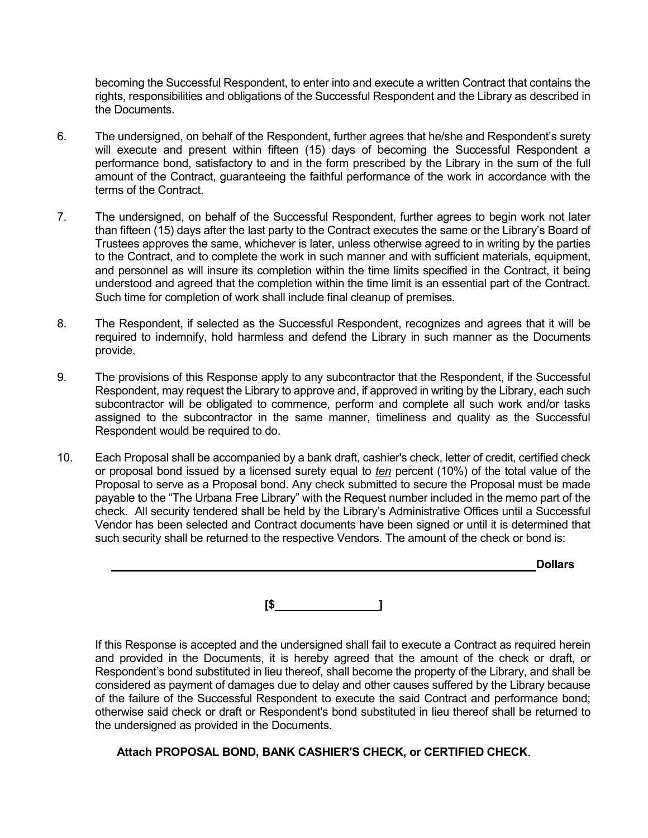becoming the Successful Respondent, to enter into and execute a written Contract that contains the rights, responsibilities and obligations of the Successful Respondent and the Library as described in the Documents.

- 6. The undersigned, on behalf of the Respondent, further agrees that he/she and Respondent's surety will execute and present within fifteen (15) days of becoming the Successful Respondent a performance bond, satisfactory to and in the form prescribed by the Library in the sum of the full amount of the Contract, guaranteeing the faithful performance of the work in accordance with the terms of the Contract.
- 7. The undersigned, on behalf of the Successful Respondent, further agrees to begin work not later than fifteen (15) days after the last party to the Contract executes the same or the Library's Board of Trustees approves the same, whichever is later, unless otherwise agreed to in writing by the parties to the Contract, and to complete the work in such manner and with sufficient materials, equipment, and personnel as will insure its completion within the time limits specified in the Contract, it being understood and agreed that the completion within the time limit is an essential part of the Contract. Such time for completion of work shall include final cleanup of premises.
- 8. The Respondent, if selected as the Successful Respondent, recognizes and agrees that it will be required to indemnify, hold harmless and defend the Library in such manner as the Documents provide.
- 9. The provisions of this Response apply to any subcontractor that the Respondent, if the Successful Respondent, may request the Library to approve and, if approved in writing by the Library, each such subcontractor will be obligated to commence, perform and complete all such work and/or tasks assigned to the subcontractor in the same manner, timeliness and quality as the Successful Respondent would be required to do.
- 10. Each Proposal shall be accompanied by a bank draft, cashier's check, letter of credit, certified check or proposal bond issued by a licensed surety equal to *ten* percent (10%) of the total value of the Proposal to serve as a Proposal bond. Any check submitted to secure the Proposal must be made payable to the "The Urbana Free Library" with the Request number included in the memo part of the check. All security tendered shall be held by the Library's Administrative Offices until a Successful Vendor has been selected and Contract documents have been signed or until it is determined that such security shall be returned to the respective Vendors. The amount of the check or bond is:

|  |  | <b>Dollars</b> |
|--|--|----------------|
|  |  |                |
|  |  |                |
|  |  |                |

**[\$ ]**

If this Response is accepted and the undersigned shall fail to execute a Contract as required herein and provided in the Documents, it is hereby agreed that the amount of the check or draft, or Respondent's bond substituted in lieu thereof, shall become the property of the Library, and shall be considered as payment of damages due to delay and other causes suffered by the Library because of the failure of the Successful Respondent to execute the said Contract and performance bond; otherwise said check or draft or Respondent's bond substituted in lieu thereof shall be returned to the undersigned as provided in the Documents.

# **Attach PROPOSAL BOND, BANK CASHIER'S CHECK, or CERTIFIED CHECK**.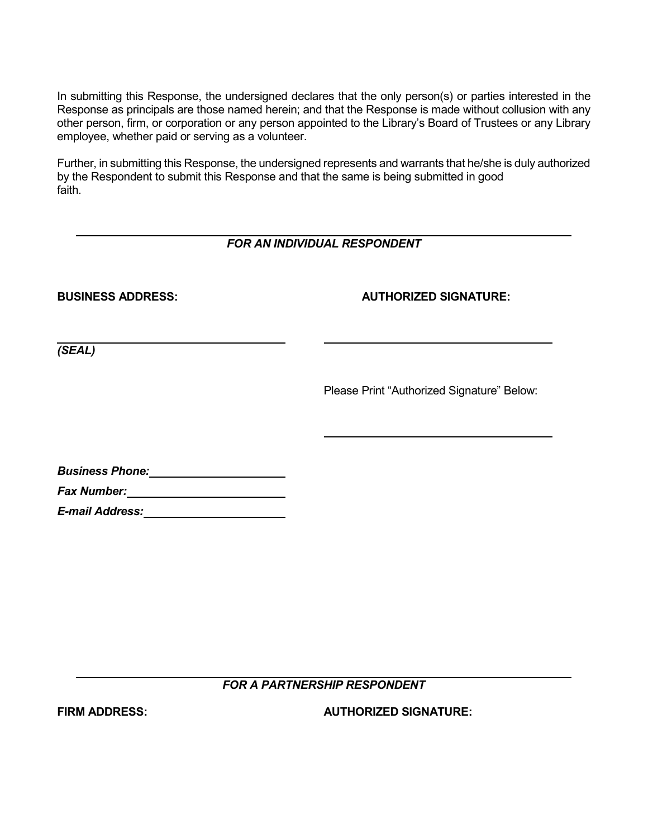In submitting this Response, the undersigned declares that the only person(s) or parties interested in the Response as principals are those named herein; and that the Response is made without collusion with any other person, firm, or corporation or any person appointed to the Library's Board of Trustees or any Library employee, whether paid or serving as a volunteer.

Further, in submitting this Response, the undersigned represents and warrants that he/she is duly authorized by the Respondent to submit this Response and that the same is being submitted in good faith.

# *FOR AN INDIVIDUAL RESPONDENT*

# **BUSINESS ADDRESS: AUTHORIZED SIGNATURE:**

*(SEAL)*

Please Print "Authorized Signature" Below:

| <b>Business Phone:</b> |  |
|------------------------|--|
|                        |  |

*Fax Number:*

*E-mail Address:*

*FOR A PARTNERSHIP RESPONDENT*

**FIRM ADDRESS: AUTHORIZED SIGNATURE:**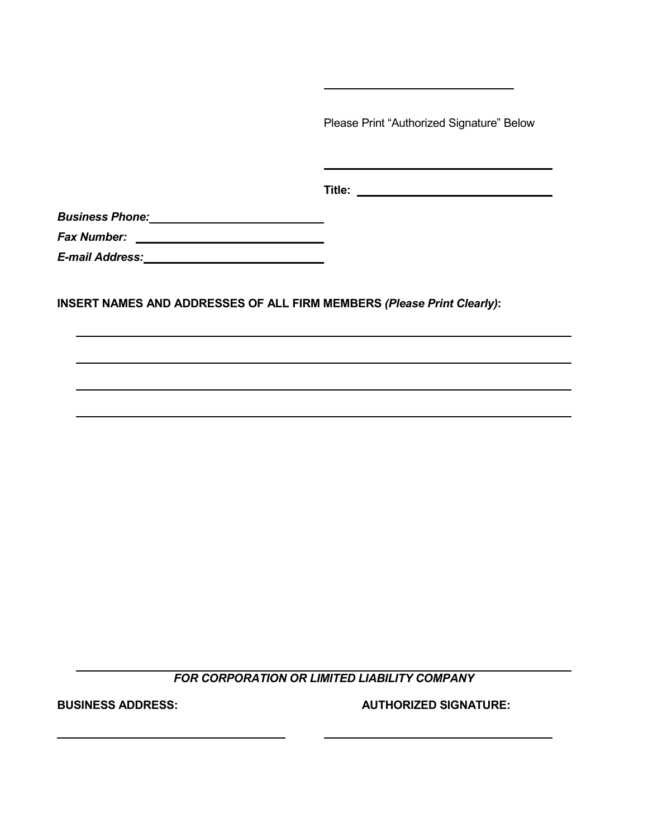Please Print "Authorized Signature" Below

**Title:** 

*Business Phone:*

*Fax Number:* 

*E-mail Address:*

**INSERT NAMES AND ADDRESSES OF ALL FIRM MEMBERS** *(Please Print Clearly)***:**

*FOR CORPORATION OR LIMITED LIABILITY COMPANY*

**BUSINESS ADDRESS: AUTHORIZED SIGNATURE:**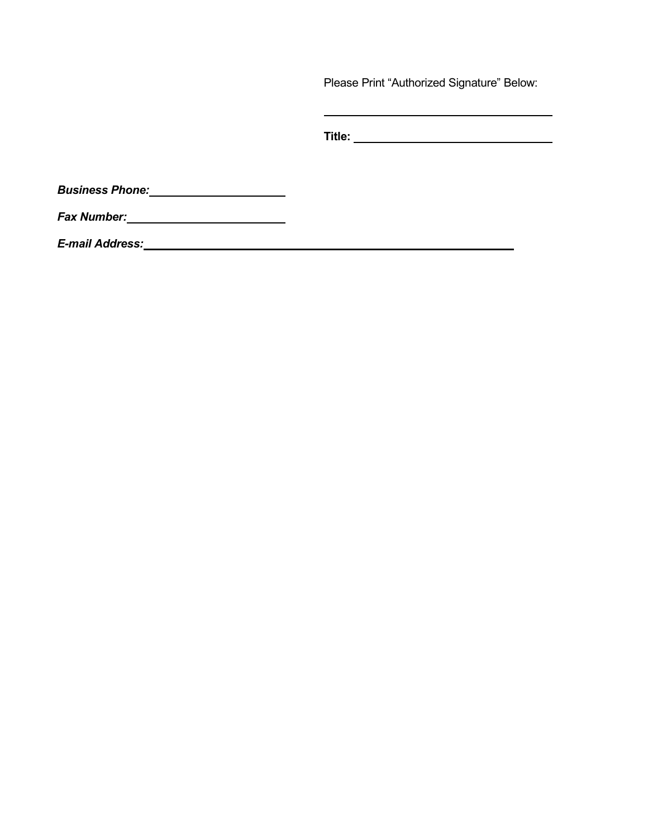Please Print "Authorized Signature" Below:

 $\mathbf{r}$ 

| Title: |  |
|--------|--|
|        |  |
|        |  |

*Business Phone:*

*Fax Number:*

*E-mail Address:*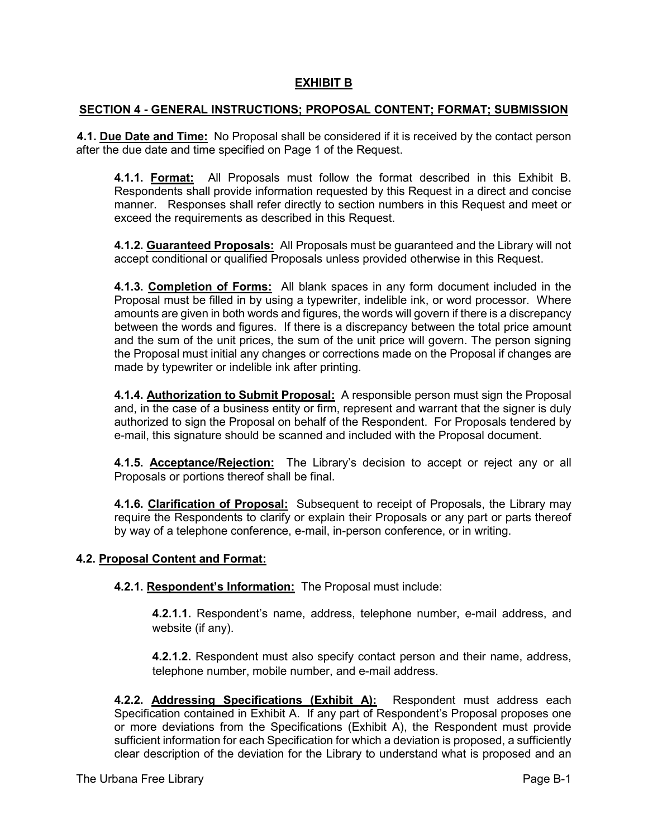## **EXHIBIT B**

### **SECTION 4 - GENERAL INSTRUCTIONS; PROPOSAL CONTENT; FORMAT; SUBMISSION**

**4.1. Due Date and Time:** No Proposal shall be considered if it is received by the contact person after the due date and time specified on Page 1 of the Request.

**4.1.1. Format:** All Proposals must follow the format described in this Exhibit B. Respondents shall provide information requested by this Request in a direct and concise manner. Responses shall refer directly to section numbers in this Request and meet or exceed the requirements as described in this Request.

**4.1.2. Guaranteed Proposals:** All Proposals must be guaranteed and the Library will not accept conditional or qualified Proposals unless provided otherwise in this Request.

**4.1.3. Completion of Forms:** All blank spaces in any form document included in the Proposal must be filled in by using a typewriter, indelible ink, or word processor. Where amounts are given in both words and figures, the words will govern if there is a discrepancy between the words and figures. If there is a discrepancy between the total price amount and the sum of the unit prices, the sum of the unit price will govern. The person signing the Proposal must initial any changes or corrections made on the Proposal if changes are made by typewriter or indelible ink after printing.

**4.1.4. Authorization to Submit Proposal:** A responsible person must sign the Proposal and, in the case of a business entity or firm, represent and warrant that the signer is duly authorized to sign the Proposal on behalf of the Respondent. For Proposals tendered by e-mail, this signature should be scanned and included with the Proposal document.

**4.1.5. Acceptance/Rejection:** The Library's decision to accept or reject any or all Proposals or portions thereof shall be final.

**4.1.6. Clarification of Proposal:** Subsequent to receipt of Proposals, the Library may require the Respondents to clarify or explain their Proposals or any part or parts thereof by way of a telephone conference, e-mail, in-person conference, or in writing.

## **4.2. Proposal Content and Format:**

**4.2.1. Respondent's Information:** The Proposal must include:

**4.2.1.1.** Respondent's name, address, telephone number, e-mail address, and website (if any).

**4.2.1.2.** Respondent must also specify contact person and their name, address, telephone number, mobile number, and e-mail address.

**4.2.2. Addressing Specifications (Exhibit A):** Respondent must address each Specification contained in Exhibit A. If any part of Respondent's Proposal proposes one or more deviations from the Specifications (Exhibit A), the Respondent must provide sufficient information for each Specification for which a deviation is proposed, a sufficiently clear description of the deviation for the Library to understand what is proposed and an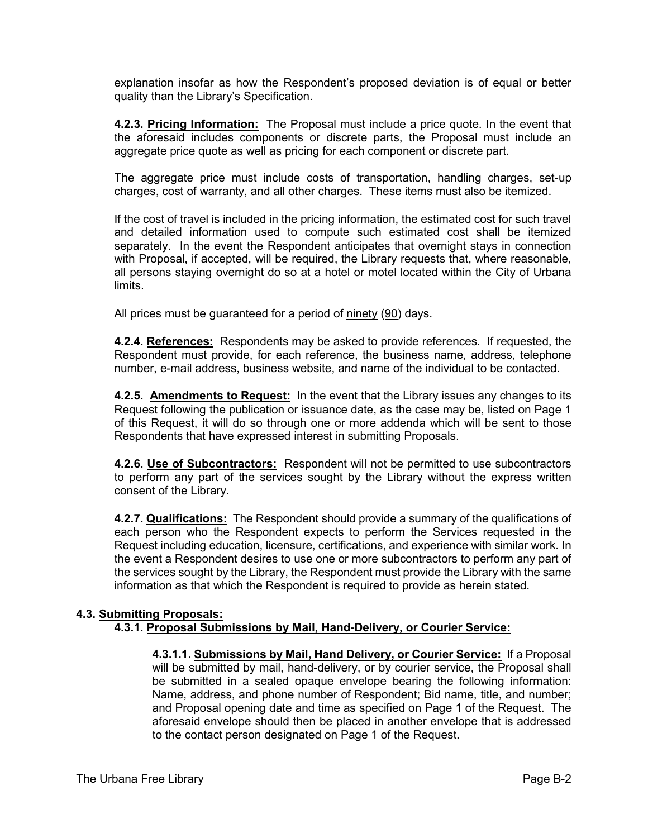explanation insofar as how the Respondent's proposed deviation is of equal or better quality than the Library's Specification.

**4.2.3. Pricing Information:** The Proposal must include a price quote. In the event that the aforesaid includes components or discrete parts, the Proposal must include an aggregate price quote as well as pricing for each component or discrete part.

The aggregate price must include costs of transportation, handling charges, set-up charges, cost of warranty, and all other charges. These items must also be itemized.

If the cost of travel is included in the pricing information, the estimated cost for such travel and detailed information used to compute such estimated cost shall be itemized separately. In the event the Respondent anticipates that overnight stays in connection with Proposal, if accepted, will be required, the Library requests that, where reasonable, all persons staying overnight do so at a hotel or motel located within the City of Urbana limits.

All prices must be guaranteed for a period of ninety (90) days.

**4.2.4. References:** Respondents may be asked to provide references. If requested, the Respondent must provide, for each reference, the business name, address, telephone number, e-mail address, business website, and name of the individual to be contacted.

**4.2.5. Amendments to Request:** In the event that the Library issues any changes to its Request following the publication or issuance date, as the case may be, listed on Page 1 of this Request, it will do so through one or more addenda which will be sent to those Respondents that have expressed interest in submitting Proposals.

**4.2.6. Use of Subcontractors:** Respondent will not be permitted to use subcontractors to perform any part of the services sought by the Library without the express written consent of the Library.

**4.2.7. Qualifications:** The Respondent should provide a summary of the qualifications of each person who the Respondent expects to perform the Services requested in the Request including education, licensure, certifications, and experience with similar work. In the event a Respondent desires to use one or more subcontractors to perform any part of the services sought by the Library, the Respondent must provide the Library with the same information as that which the Respondent is required to provide as herein stated.

## **4.3. Submitting Proposals:**

## **4.3.1. Proposal Submissions by Mail, Hand-Delivery, or Courier Service:**

**4.3.1.1. Submissions by Mail, Hand Delivery, or Courier Service:** If a Proposal will be submitted by mail, hand-delivery, or by courier service, the Proposal shall be submitted in a sealed opaque envelope bearing the following information: Name, address, and phone number of Respondent; Bid name, title, and number; and Proposal opening date and time as specified on Page 1 of the Request. The aforesaid envelope should then be placed in another envelope that is addressed to the contact person designated on Page 1 of the Request.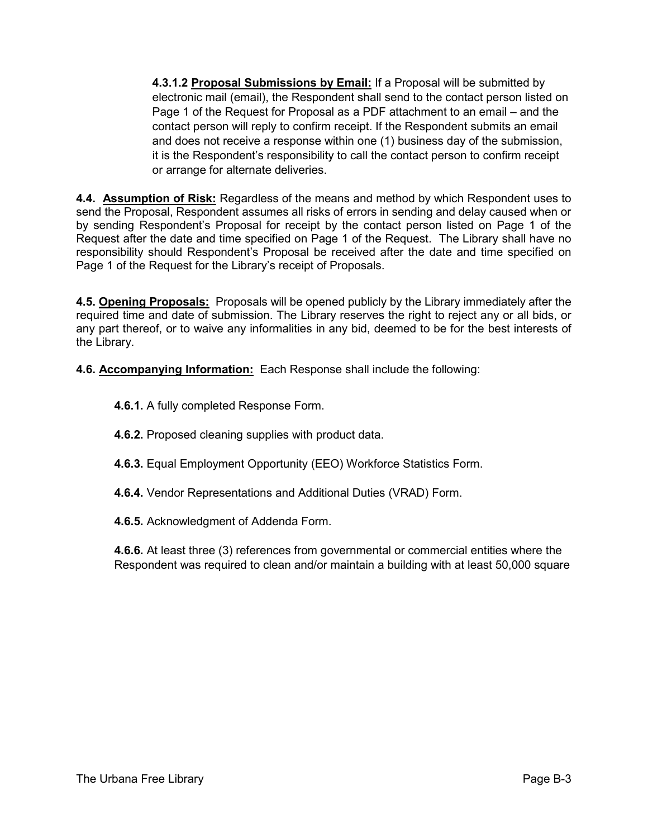**4.3.1.2 Proposal Submissions by Email:** If a Proposal will be submitted by electronic mail (email), the Respondent shall send to the contact person listed on Page 1 of the Request for Proposal as a PDF attachment to an email – and the contact person will reply to confirm receipt. If the Respondent submits an email and does not receive a response within one (1) business day of the submission, it is the Respondent's responsibility to call the contact person to confirm receipt or arrange for alternate deliveries.

**4.4. Assumption of Risk:** Regardless of the means and method by which Respondent uses to send the Proposal, Respondent assumes all risks of errors in sending and delay caused when or by sending Respondent's Proposal for receipt by the contact person listed on Page 1 of the Request after the date and time specified on Page 1 of the Request. The Library shall have no responsibility should Respondent's Proposal be received after the date and time specified on Page 1 of the Request for the Library's receipt of Proposals.

**4.5. Opening Proposals:** Proposals will be opened publicly by the Library immediately after the required time and date of submission. The Library reserves the right to reject any or all bids, or any part thereof, or to waive any informalities in any bid, deemed to be for the best interests of the Library.

**4.6. Accompanying Information:** Each Response shall include the following:

**4.6.1.** A fully completed Response Form.

**4.6.2.** Proposed cleaning supplies with product data.

**4.6.3.** Equal Employment Opportunity (EEO) Workforce Statistics Form.

**4.6.4.** Vendor Representations and Additional Duties (VRAD) Form.

**4.6.5.** Acknowledgment of Addenda Form.

**4.6.6.** At least three (3) references from governmental or commercial entities where the Respondent was required to clean and/or maintain a building with at least 50,000 square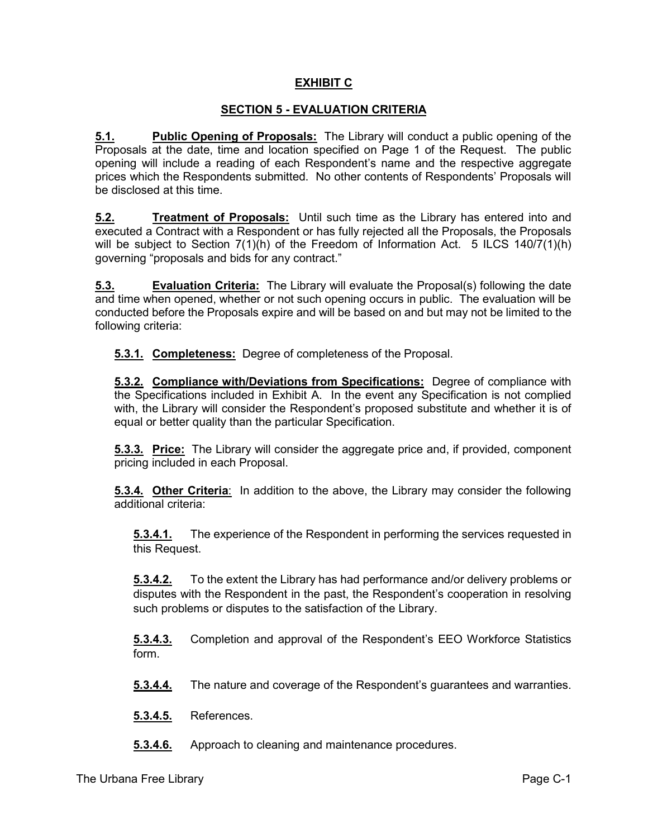# **EXHIBIT C**

## **SECTION 5 - EVALUATION CRITERIA**

**5.1. Public Opening of Proposals:** The Library will conduct a public opening of the Proposals at the date, time and location specified on Page 1 of the Request. The public opening will include a reading of each Respondent's name and the respective aggregate prices which the Respondents submitted. No other contents of Respondents' Proposals will be disclosed at this time.

**5.2. Treatment of Proposals:** Until such time as the Library has entered into and executed a Contract with a Respondent or has fully rejected all the Proposals, the Proposals will be subject to Section 7(1)(h) of the Freedom of Information Act. 5 ILCS 140/7(1)(h) governing "proposals and bids for any contract."

**5.3. Evaluation Criteria:** The Library will evaluate the Proposal(s) following the date and time when opened, whether or not such opening occurs in public. The evaluation will be conducted before the Proposals expire and will be based on and but may not be limited to the following criteria:

**5.3.1. Completeness:** Degree of completeness of the Proposal.

**5.3.2. Compliance with/Deviations from Specifications:** Degree of compliance with the Specifications included in Exhibit A. In the event any Specification is not complied with, the Library will consider the Respondent's proposed substitute and whether it is of equal or better quality than the particular Specification.

**5.3.3. Price:** The Library will consider the aggregate price and, if provided, component pricing included in each Proposal.

**5.3.4. Other Criteria**: In addition to the above, the Library may consider the following additional criteria:

**5.3.4.1.** The experience of the Respondent in performing the services requested in this Request.

**5.3.4.2.** To the extent the Library has had performance and/or delivery problems or disputes with the Respondent in the past, the Respondent's cooperation in resolving such problems or disputes to the satisfaction of the Library.

**5.3.4.3.** Completion and approval of the Respondent's EEO Workforce Statistics form.

**5.3.4.4.** The nature and coverage of the Respondent's guarantees and warranties.

**5.3.4.5.** References.

**5.3.4.6.** Approach to cleaning and maintenance procedures.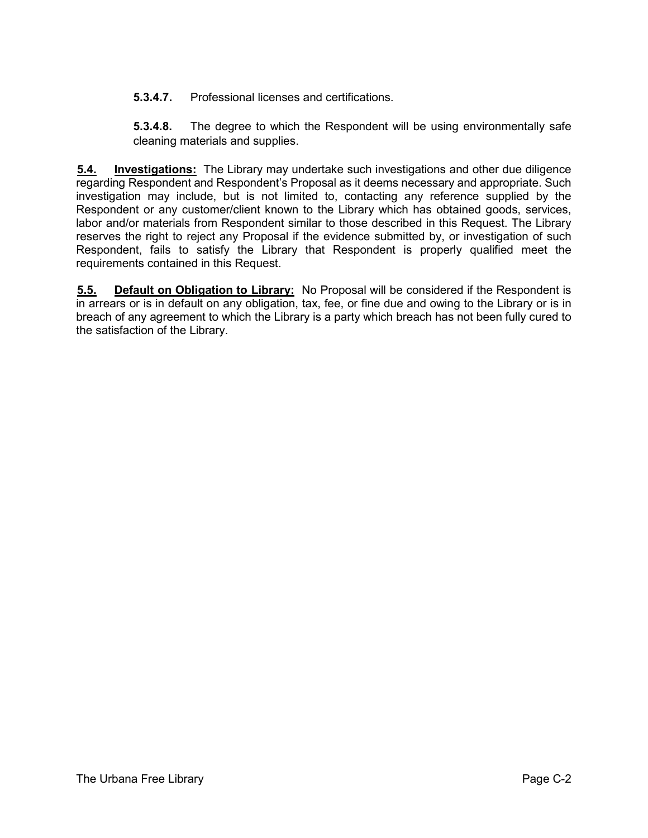**5.3.4.7.** Professional licenses and certifications.

**5.3.4.8.** The degree to which the Respondent will be using environmentally safe cleaning materials and supplies.

**5.4. Investigations:** The Library may undertake such investigations and other due diligence regarding Respondent and Respondent's Proposal as it deems necessary and appropriate. Such investigation may include, but is not limited to, contacting any reference supplied by the Respondent or any customer/client known to the Library which has obtained goods, services, labor and/or materials from Respondent similar to those described in this Request. The Library reserves the right to reject any Proposal if the evidence submitted by, or investigation of such Respondent, fails to satisfy the Library that Respondent is properly qualified meet the requirements contained in this Request.

**5.5. Default on Obligation to Library:** No Proposal will be considered if the Respondent is in arrears or is in default on any obligation, tax, fee, or fine due and owing to the Library or is in breach of any agreement to which the Library is a party which breach has not been fully cured to the satisfaction of the Library.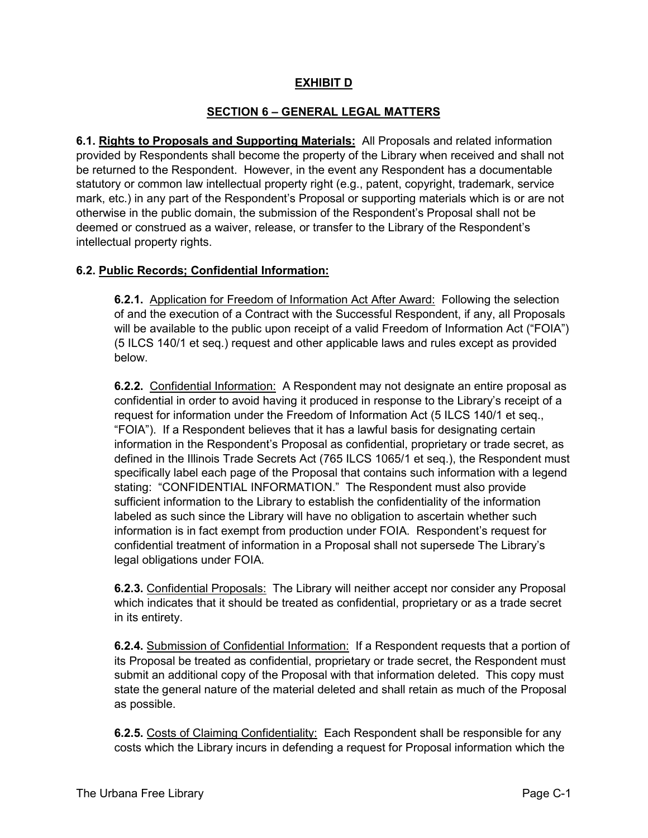## **EXHIBIT D**

## **SECTION 6 – GENERAL LEGAL MATTERS**

**6.1. Rights to Proposals and Supporting Materials:** All Proposals and related information provided by Respondents shall become the property of the Library when received and shall not be returned to the Respondent. However, in the event any Respondent has a documentable statutory or common law intellectual property right (e.g., patent, copyright, trademark, service mark, etc.) in any part of the Respondent's Proposal or supporting materials which is or are not otherwise in the public domain, the submission of the Respondent's Proposal shall not be deemed or construed as a waiver, release, or transfer to the Library of the Respondent's intellectual property rights.

## **6.2. Public Records; Confidential Information:**

**6.2.1.** Application for Freedom of Information Act After Award: Following the selection of and the execution of a Contract with the Successful Respondent, if any, all Proposals will be available to the public upon receipt of a valid Freedom of Information Act ("FOIA") (5 ILCS 140/1 et seq.) request and other applicable laws and rules except as provided below.

**6.2.2.** Confidential Information: A Respondent may not designate an entire proposal as confidential in order to avoid having it produced in response to the Library's receipt of a request for information under the Freedom of Information Act (5 ILCS 140/1 et seq., "FOIA"). If a Respondent believes that it has a lawful basis for designating certain information in the Respondent's Proposal as confidential, proprietary or trade secret, as defined in the Illinois Trade Secrets Act (765 ILCS 1065/1 et seq.), the Respondent must specifically label each page of the Proposal that contains such information with a legend stating: "CONFIDENTIAL INFORMATION." The Respondent must also provide sufficient information to the Library to establish the confidentiality of the information labeled as such since the Library will have no obligation to ascertain whether such information is in fact exempt from production under FOIA. Respondent's request for confidential treatment of information in a Proposal shall not supersede The Library's legal obligations under FOIA.

**6.2.3.** Confidential Proposals: The Library will neither accept nor consider any Proposal which indicates that it should be treated as confidential, proprietary or as a trade secret in its entirety.

**6.2.4.** Submission of Confidential Information: If a Respondent requests that a portion of its Proposal be treated as confidential, proprietary or trade secret, the Respondent must submit an additional copy of the Proposal with that information deleted. This copy must state the general nature of the material deleted and shall retain as much of the Proposal as possible.

**6.2.5.** Costs of Claiming Confidentiality: Each Respondent shall be responsible for any costs which the Library incurs in defending a request for Proposal information which the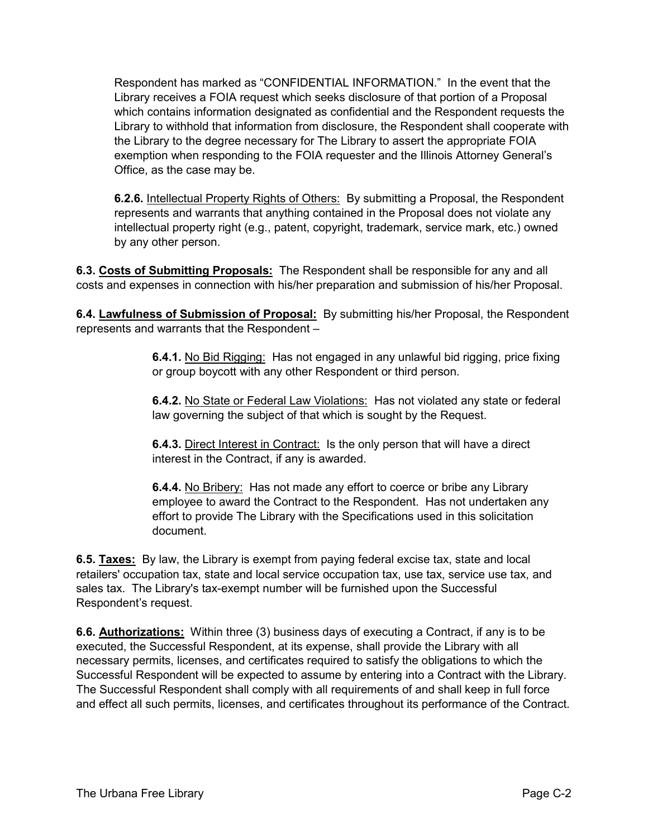Respondent has marked as "CONFIDENTIAL INFORMATION." In the event that the Library receives a FOIA request which seeks disclosure of that portion of a Proposal which contains information designated as confidential and the Respondent requests the Library to withhold that information from disclosure, the Respondent shall cooperate with the Library to the degree necessary for The Library to assert the appropriate FOIA exemption when responding to the FOIA requester and the Illinois Attorney General's Office, as the case may be.

**6.2.6.** Intellectual Property Rights of Others: By submitting a Proposal, the Respondent represents and warrants that anything contained in the Proposal does not violate any intellectual property right (e.g., patent, copyright, trademark, service mark, etc.) owned by any other person.

**6.3. Costs of Submitting Proposals:** The Respondent shall be responsible for any and all costs and expenses in connection with his/her preparation and submission of his/her Proposal.

**6.4. Lawfulness of Submission of Proposal:** By submitting his/her Proposal, the Respondent represents and warrants that the Respondent –

> **6.4.1.** No Bid Rigging: Has not engaged in any unlawful bid rigging, price fixing or group boycott with any other Respondent or third person.

> **6.4.2.** No State or Federal Law Violations: Has not violated any state or federal law governing the subject of that which is sought by the Request.

**6.4.3.** Direct Interest in Contract: Is the only person that will have a direct interest in the Contract, if any is awarded.

**6.4.4.** No Bribery: Has not made any effort to coerce or bribe any Library employee to award the Contract to the Respondent. Has not undertaken any effort to provide The Library with the Specifications used in this solicitation document.

**6.5. Taxes:** By law, the Library is exempt from paying federal excise tax, state and local retailers' occupation tax, state and local service occupation tax, use tax, service use tax, and sales tax. The Library's tax-exempt number will be furnished upon the Successful Respondent's request.

**6.6. Authorizations:** Within three (3) business days of executing a Contract, if any is to be executed, the Successful Respondent, at its expense, shall provide the Library with all necessary permits, licenses, and certificates required to satisfy the obligations to which the Successful Respondent will be expected to assume by entering into a Contract with the Library. The Successful Respondent shall comply with all requirements of and shall keep in full force and effect all such permits, licenses, and certificates throughout its performance of the Contract.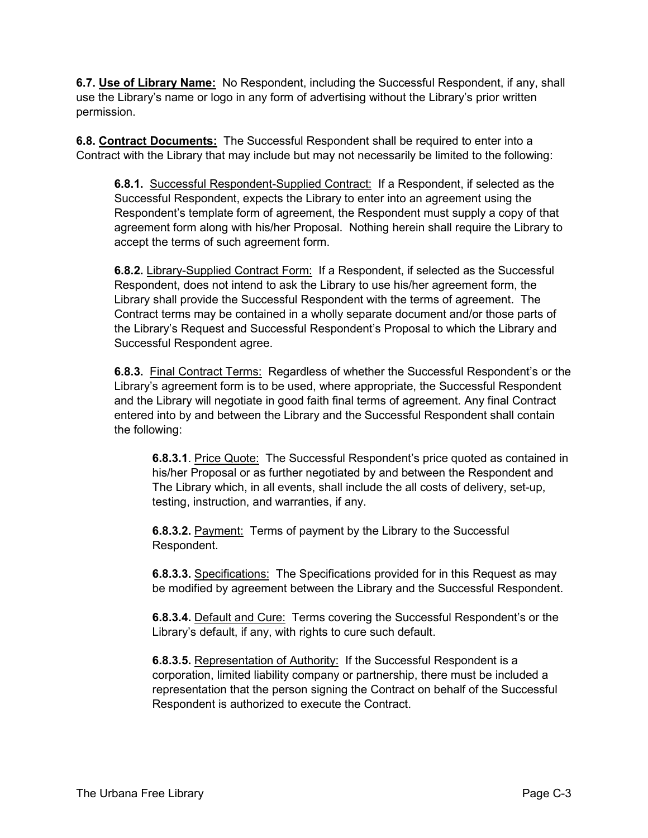**6.7. Use of Library Name:** No Respondent, including the Successful Respondent, if any, shall use the Library's name or logo in any form of advertising without the Library's prior written permission.

**6.8. Contract Documents:** The Successful Respondent shall be required to enter into a Contract with the Library that may include but may not necessarily be limited to the following:

**6.8.1.** Successful Respondent-Supplied Contract: If a Respondent, if selected as the Successful Respondent, expects the Library to enter into an agreement using the Respondent's template form of agreement, the Respondent must supply a copy of that agreement form along with his/her Proposal. Nothing herein shall require the Library to accept the terms of such agreement form.

**6.8.2.** Library-Supplied Contract Form: If a Respondent, if selected as the Successful Respondent, does not intend to ask the Library to use his/her agreement form, the Library shall provide the Successful Respondent with the terms of agreement. The Contract terms may be contained in a wholly separate document and/or those parts of the Library's Request and Successful Respondent's Proposal to which the Library and Successful Respondent agree.

**6.8.3.** Final Contract Terms: Regardless of whether the Successful Respondent's or the Library's agreement form is to be used, where appropriate, the Successful Respondent and the Library will negotiate in good faith final terms of agreement. Any final Contract entered into by and between the Library and the Successful Respondent shall contain the following:

**6.8.3.1**. Price Quote: The Successful Respondent's price quoted as contained in his/her Proposal or as further negotiated by and between the Respondent and The Library which, in all events, shall include the all costs of delivery, set-up, testing, instruction, and warranties, if any.

**6.8.3.2.** Payment: Terms of payment by the Library to the Successful Respondent.

**6.8.3.3.** Specifications: The Specifications provided for in this Request as may be modified by agreement between the Library and the Successful Respondent.

**6.8.3.4.** Default and Cure: Terms covering the Successful Respondent's or the Library's default, if any, with rights to cure such default.

**6.8.3.5.** Representation of Authority: If the Successful Respondent is a corporation, limited liability company or partnership, there must be included a representation that the person signing the Contract on behalf of the Successful Respondent is authorized to execute the Contract.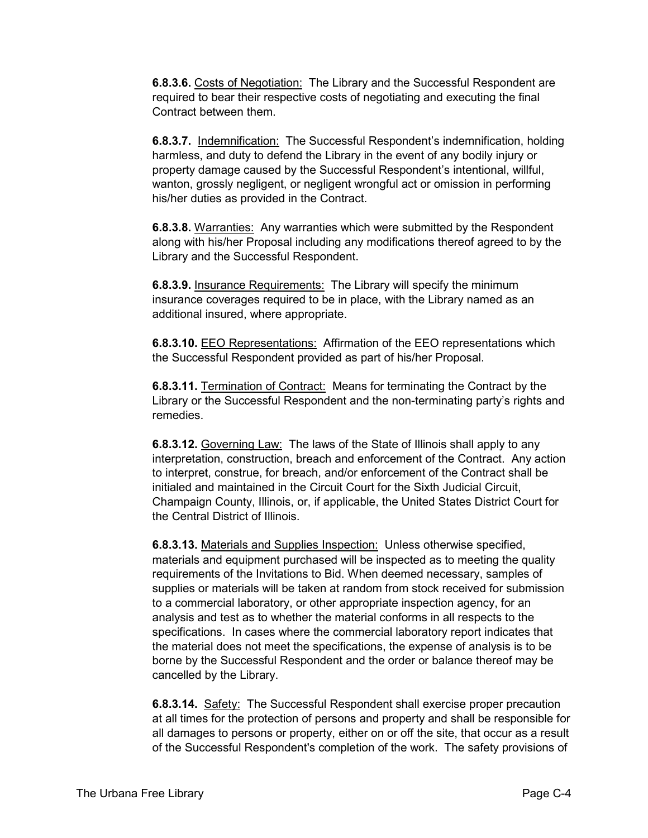**6.8.3.6.** Costs of Negotiation: The Library and the Successful Respondent are required to bear their respective costs of negotiating and executing the final Contract between them.

**6.8.3.7.** Indemnification: The Successful Respondent's indemnification, holding harmless, and duty to defend the Library in the event of any bodily injury or property damage caused by the Successful Respondent's intentional, willful, wanton, grossly negligent, or negligent wrongful act or omission in performing his/her duties as provided in the Contract.

**6.8.3.8.** Warranties: Any warranties which were submitted by the Respondent along with his/her Proposal including any modifications thereof agreed to by the Library and the Successful Respondent.

**6.8.3.9.** Insurance Requirements: The Library will specify the minimum insurance coverages required to be in place, with the Library named as an additional insured, where appropriate.

**6.8.3.10.** EEO Representations: Affirmation of the EEO representations which the Successful Respondent provided as part of his/her Proposal.

**6.8.3.11.** Termination of Contract: Means for terminating the Contract by the Library or the Successful Respondent and the non-terminating party's rights and remedies.

**6.8.3.12.** Governing Law: The laws of the State of Illinois shall apply to any interpretation, construction, breach and enforcement of the Contract. Any action to interpret, construe, for breach, and/or enforcement of the Contract shall be initialed and maintained in the Circuit Court for the Sixth Judicial Circuit, Champaign County, Illinois, or, if applicable, the United States District Court for the Central District of Illinois.

**6.8.3.13.** Materials and Supplies Inspection: Unless otherwise specified, materials and equipment purchased will be inspected as to meeting the quality requirements of the Invitations to Bid. When deemed necessary, samples of supplies or materials will be taken at random from stock received for submission to a commercial laboratory, or other appropriate inspection agency, for an analysis and test as to whether the material conforms in all respects to the specifications. In cases where the commercial laboratory report indicates that the material does not meet the specifications, the expense of analysis is to be borne by the Successful Respondent and the order or balance thereof may be cancelled by the Library.

**6.8.3.14.** Safety: The Successful Respondent shall exercise proper precaution at all times for the protection of persons and property and shall be responsible for all damages to persons or property, either on or off the site, that occur as a result of the Successful Respondent's completion of the work. The safety provisions of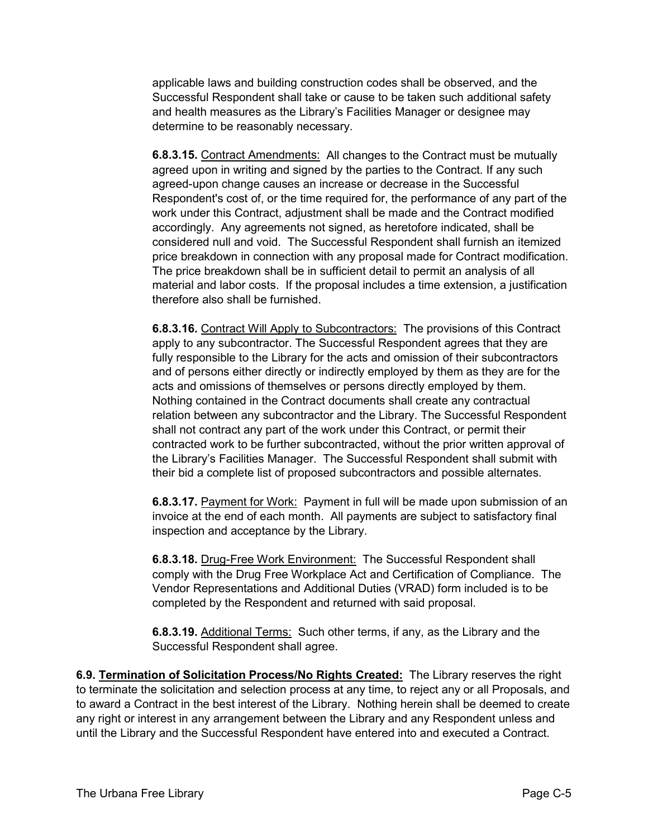applicable laws and building construction codes shall be observed, and the Successful Respondent shall take or cause to be taken such additional safety and health measures as the Library's Facilities Manager or designee may determine to be reasonably necessary.

**6.8.3.15.** Contract Amendments: All changes to the Contract must be mutually agreed upon in writing and signed by the parties to the Contract. If any such agreed-upon change causes an increase or decrease in the Successful Respondent's cost of, or the time required for, the performance of any part of the work under this Contract, adjustment shall be made and the Contract modified accordingly. Any agreements not signed, as heretofore indicated, shall be considered null and void. The Successful Respondent shall furnish an itemized price breakdown in connection with any proposal made for Contract modification. The price breakdown shall be in sufficient detail to permit an analysis of all material and labor costs. If the proposal includes a time extension, a justification therefore also shall be furnished.

**6.8.3.16.** Contract Will Apply to Subcontractors: The provisions of this Contract apply to any subcontractor. The Successful Respondent agrees that they are fully responsible to the Library for the acts and omission of their subcontractors and of persons either directly or indirectly employed by them as they are for the acts and omissions of themselves or persons directly employed by them. Nothing contained in the Contract documents shall create any contractual relation between any subcontractor and the Library. The Successful Respondent shall not contract any part of the work under this Contract, or permit their contracted work to be further subcontracted, without the prior written approval of the Library's Facilities Manager. The Successful Respondent shall submit with their bid a complete list of proposed subcontractors and possible alternates.

**6.8.3.17.** Payment for Work: Payment in full will be made upon submission of an invoice at the end of each month. All payments are subject to satisfactory final inspection and acceptance by the Library.

**6.8.3.18.** Drug-Free Work Environment: The Successful Respondent shall comply with the Drug Free Workplace Act and Certification of Compliance. The Vendor Representations and Additional Duties (VRAD) form included is to be completed by the Respondent and returned with said proposal.

**6.8.3.19.** Additional Terms: Such other terms, if any, as the Library and the Successful Respondent shall agree.

**6.9. Termination of Solicitation Process/No Rights Created:** The Library reserves the right to terminate the solicitation and selection process at any time, to reject any or all Proposals, and to award a Contract in the best interest of the Library. Nothing herein shall be deemed to create any right or interest in any arrangement between the Library and any Respondent unless and until the Library and the Successful Respondent have entered into and executed a Contract.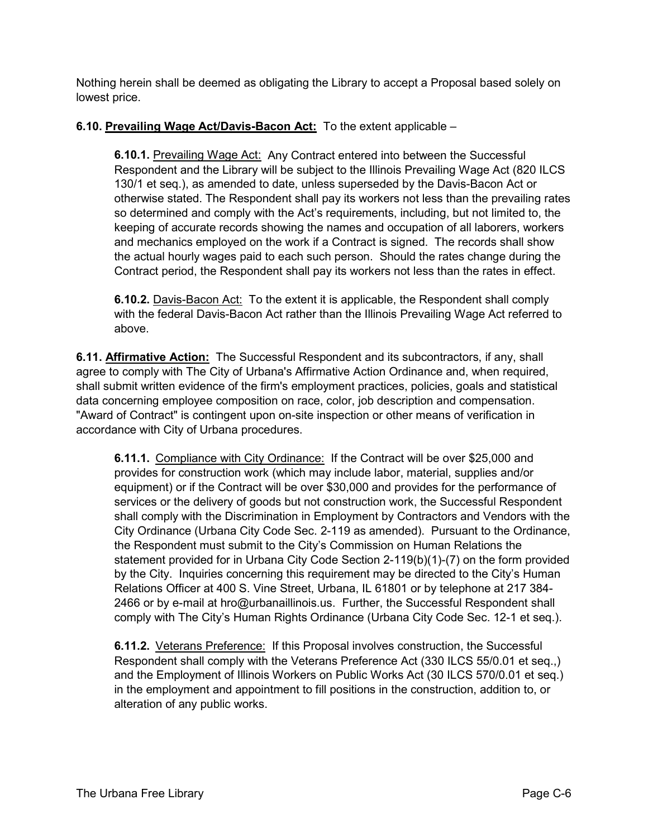Nothing herein shall be deemed as obligating the Library to accept a Proposal based solely on lowest price.

# **6.10. Prevailing Wage Act/Davis-Bacon Act:** To the extent applicable –

**6.10.1.** Prevailing Wage Act:Any Contract entered into between the Successful Respondent and the Library will be subject to the Illinois Prevailing Wage Act (820 ILCS 130/1 et seq.), as amended to date, unless superseded by the Davis-Bacon Act or otherwise stated. The Respondent shall pay its workers not less than the prevailing rates so determined and comply with the Act's requirements, including, but not limited to, the keeping of accurate records showing the names and occupation of all laborers, workers and mechanics employed on the work if a Contract is signed. The records shall show the actual hourly wages paid to each such person. Should the rates change during the Contract period, the Respondent shall pay its workers not less than the rates in effect.

**6.10.2.** Davis-Bacon Act: To the extent it is applicable, the Respondent shall comply with the federal Davis-Bacon Act rather than the Illinois Prevailing Wage Act referred to above.

**6.11. Affirmative Action:** The Successful Respondent and its subcontractors, if any, shall agree to comply with The City of Urbana's Affirmative Action Ordinance and, when required, shall submit written evidence of the firm's employment practices, policies, goals and statistical data concerning employee composition on race, color, job description and compensation. "Award of Contract" is contingent upon on-site inspection or other means of verification in accordance with City of Urbana procedures.

**6.11.1.** Compliance with City Ordinance: If the Contract will be over \$25,000 and provides for construction work (which may include labor, material, supplies and/or equipment) or if the Contract will be over \$30,000 and provides for the performance of services or the delivery of goods but not construction work, the Successful Respondent shall comply with the Discrimination in Employment by Contractors and Vendors with the City Ordinance (Urbana City Code Sec. 2-119 as amended). Pursuant to the Ordinance, the Respondent must submit to the City's Commission on Human Relations the statement provided for in Urbana City Code Section 2-119(b)(1)-(7) on the form provided by the City. Inquiries concerning this requirement may be directed to the City's Human Relations Officer at 400 S. Vine Street, Urbana, IL 61801 or by telephone at 217 384- 2466 or by e-mail at hro@urbanaillinois.us. Further, the Successful Respondent shall comply with The City's Human Rights Ordinance (Urbana City Code Sec. 12-1 et seq.).

**6.11.2.** Veterans Preference: If this Proposal involves construction, the Successful Respondent shall comply with the Veterans Preference Act (330 ILCS 55/0.01 et seq.,) and the Employment of Illinois Workers on Public Works Act (30 ILCS 570/0.01 et seq.) in the employment and appointment to fill positions in the construction, addition to, or alteration of any public works.